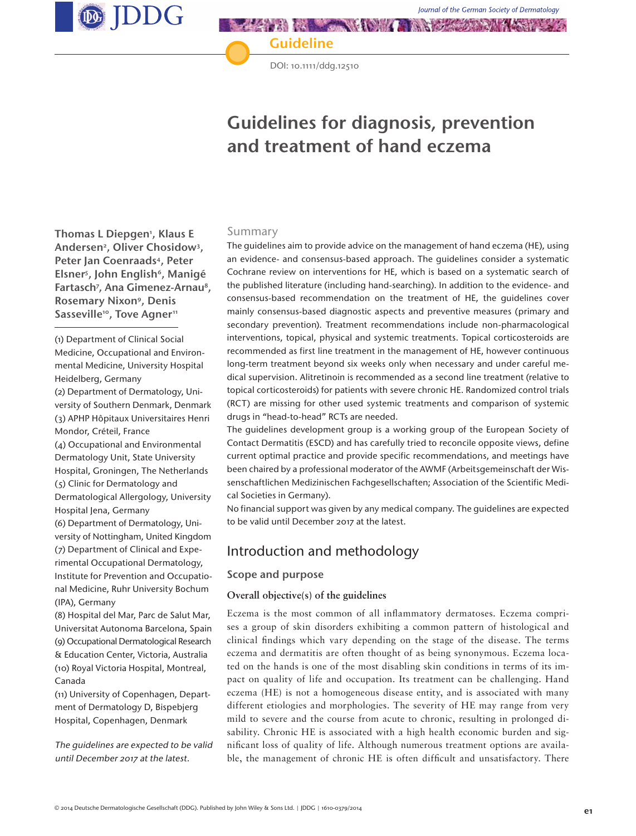**IDDG** 

DOI: 10.1111/ddg.12510

Guideline

# **Guidelines for diagnosis, prevention and treatment of hand eczema**

Thomas L Diepgen', Klaus E Andersen<sup>2</sup>, Oliver Chosidow<sup>3</sup>, Peter Jan Coenraads<sup>4</sup>, Peter Elsner<sup>s</sup>, John English<sup>6</sup>, Manigé Fartasch<sup>7</sup>, Ana Gimenez-Arnau<sup>8</sup>, Rosemary Nixon9, Denis Sasseville<sup>10</sup>, Tove Agner<sup>11</sup>

(1) Department of Clinical Social Medicine, Occupational and Environmental Medicine, University Hospital Heidelberg, Germany

(2) Department of Dermatology, University of Southern Denmark, Denmark (3) APHP Hôpitaux Universitaires Henri

Mondor, Créteil, France (4) Occupational and Environmental

Dermatology Unit, State University Hospital, Groningen, The Netherlands (5) Clinic for Dermatology and Dermatological Allergology, University

Hospital Jena, Germany (6) Department of Dermatology, University of Nottingham, United Kingdom (7) Department of Clinical and Experimental Occupational Dermatology, Institute for Prevention and Occupational Medicine, Ruhr University Bochum (IPA), Germany

(8) Hospital del Mar, Parc de Salut Mar, Universitat Autonoma Barcelona, Spain (9) Occupational Dermatological Research & Education Center, Victoria, Australia (10) Royal Victoria Hospital, Montreal, Canada

(11) University of Copenhagen, Department of Dermatology D, Bispebjerg Hospital, Copenhagen, Denmark

The guidelines are expected to be valid until December 2017 at the latest.

#### Summary

The guidelines aim to provide advice on the management of hand eczema (HE), using an evidence- and consensus-based approach. The guidelines consider a systematic Cochrane review on interventions for HE, which is based on a systematic search of the published literature (including hand-searching). In addition to the evidence- and consensus-based recommendation on the treatment of HE, the guidelines cover mainly consensus-based diagnostic aspects and preventive measures (primary and secondary prevention). Treatment recommendations include non-pharmacological interventions, topical, physical and systemic treatments. Topical corticosteroids are recommended as first line treatment in the management of HE, however continuous long-term treatment beyond six weeks only when necessary and under careful medical supervision. Alitretinoin is recommended as a second line treatment (relative to topical corticosteroids) for patients with severe chronic HE. Randomized control trials (RCT) are missing for other used systemic treatments and comparison of systemic drugs in "head-to-head" RCTs are needed.

The guidelines development group is a working group of the European Society of Contact Dermatitis (ESCD) and has carefully tried to reconcile opposite views, define current optimal practice and provide specific recommendations, and meetings have been chaired by a professional moderator of the AWMF (Arbeitsgemeinschaft der Wissenschaftlichen Medizinischen Fachgesellschaften; Association of the Scientific Medical Societies in Germany).

No financial support was given by any medical company. The guidelines are expected to be valid until December 2017 at the latest.

# Introduction and methodology

#### Scope and purpose

#### **Overall objective(s) of the guidelines**

Eczema is the most common of all inflammatory dermatoses. Eczema comprises a group of skin disorders exhibiting a common pattern of histological and clinical findings which vary depending on the stage of the disease. The terms eczema and dermatitis are often thought of as being synonymous. Eczema located on the hands is one of the most disabling skin conditions in terms of its impact on quality of life and occupation. Its treatment can be challenging. Hand eczema (HE) is not a homogeneous disease entity, and is associated with many different etiologies and morphologies. The severity of HE may range from very mild to severe and the course from acute to chronic, resulting in prolonged disability. Chronic HE is associated with a high health economic burden and significant loss of quality of life. Although numerous treatment options are available, the management of chronic HE is often difficult and unsatisfactory. There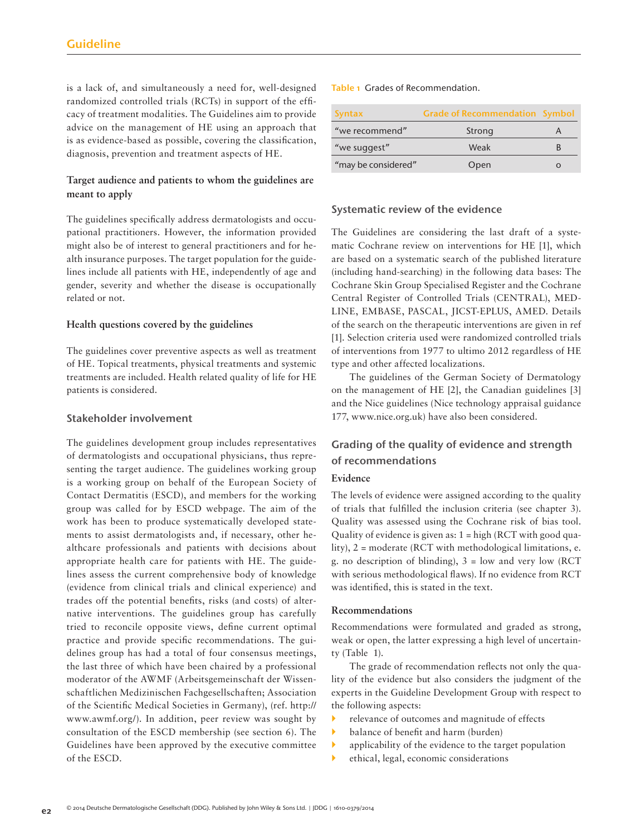is a lack of, and simultaneously a need for, well-designed randomized controlled trials (RCTs) in support of the efficacy of treatment modalities. The Guidelines aim to provide advice on the management of HE using an approach that is as evidence-based as possible, covering the classification, diagnosis, prevention and treatment aspects of HE.

### **Target audience and patients to whom the guidelines are meant to apply**

The guidelines specifically address dermatologists and occupational practitioners. However, the information provided might also be of interest to general practitioners and for health insurance purposes. The target population for the guidelines include all patients with HE, independently of age and gender, severity and whether the disease is occupationally related or not.

#### **Health questions covered by the guidelines**

The guidelines cover preventive aspects as well as treatment of HE. Topical treatments, physical treatments and systemic treatments are included. Health related quality of life for HE patients is considered.

#### Stakeholder involvement

The guidelines development group includes representatives of dermatologists and occupational physicians, thus representing the target audience. The guidelines working group is a working group on behalf of the European Society of Contact Dermatitis (ESCD), and members for the working group was called for by ESCD webpage. The aim of the work has been to produce systematically developed statements to assist dermatologists and, if necessary, other healthcare professionals and patients with decisions about appropriate health care for patients with HE. The guidelines assess the current comprehensive body of knowledge (evidence from clinical trials and clinical experience) and trades off the potential benefits, risks (and costs) of alternative interventions. The guidelines group has carefully tried to reconcile opposite views, define current optimal practice and provide specific recommendations. The guidelines group has had a total of four consensus meetings, the last three of which have been chaired by a professional moderator of the AWMF (Arbeitsgemeinschaft der Wissenschaftlichen Medizinischen Fachgesellschaften; Association of the Scientific Medical Societies in Germany), (ref. http:// www.awmf.org/). In addition, peer review was sought by consultation of the ESCD membership (see section 6). The Guidelines have been approved by the executive committee of the ESCD.

Table 1 Grades of Recommendation.

| <b>Syntax</b>       | <b>Grade of Recommendation Symbol</b> |          |
|---------------------|---------------------------------------|----------|
| "we recommend"      | Strong                                |          |
| "we suggest"        | Weak                                  |          |
| "may be considered" | Open                                  | $\Omega$ |

#### Systematic review of the evidence

The Guidelines are considering the last draft of a systematic Cochrane review on interventions for HE [1], which are based on a systematic search of the published literature (including hand-searching) in the following data bases: The Cochrane Skin Group Specialised Register and the Cochrane Central Register of Controlled Trials (CENTRAL), MED-LINE, EMBASE, PASCAL, JICST-EPLUS, AMED. Details of the search on the therapeutic interventions are given in ref [1]. Selection criteria used were randomized controlled trials of interventions from 1977 to ultimo 2012 regardless of HE type and other affected localizations.

The guidelines of the German Society of Dermatology on the management of HE [2], the Canadian guidelines [3] and the Nice guidelines (Nice technology appraisal guidance 177, www.nice.org.uk) have also been considered.

# Grading of the quality of evidence and strength of recommendations

#### **Evidence**

The levels of evidence were assigned according to the quality of trials that fulfilled the inclusion criteria (see chapter 3). Quality was assessed using the Cochrane risk of bias tool. Quality of evidence is given as: 1 = high (RCT with good quality), 2 = moderate (RCT with methodological limitations, e. g. no description of blinding),  $3 =$  low and very low (RCT) with serious methodological flaws). If no evidence from RCT was identified, this is stated in the text.

#### **Recommendations**

Recommendations were formulated and graded as strong, weak or open, the latter expressing a high level of uncertainty (Table 1).

The grade of recommendation reflects not only the quality of the evidence but also considers the judgment of the experts in the Guideline Development Group with respect to the following aspects:

- relevance of outcomes and magnitude of effects
- balance of benefit and harm (burden)
- applicability of the evidence to the target population
- ethical, legal, economic considerations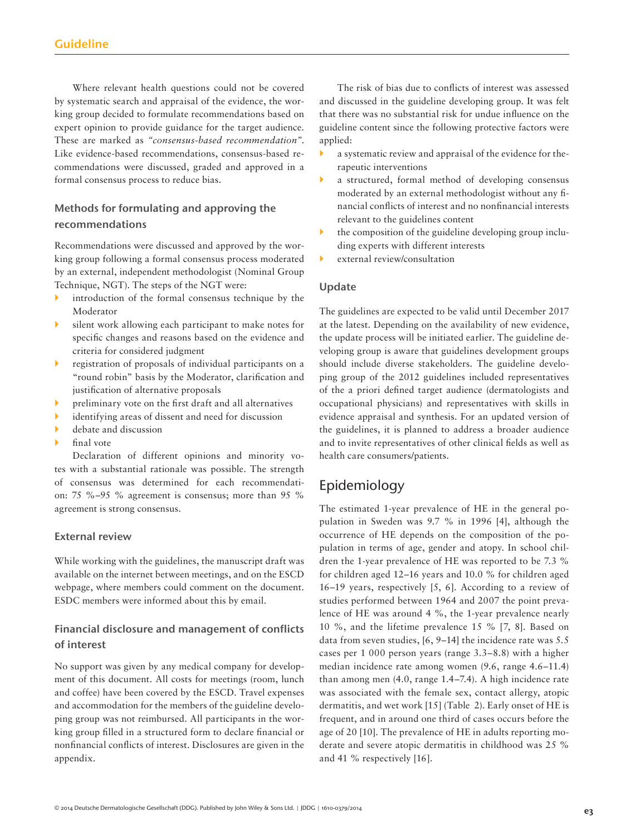Where relevant health questions could not be covered by systematic search and appraisal of the evidence, the working group decided to formulate recommendations based on expert opinion to provide guidance for the target audience. These are marked as *"consensus-based recommendation"*. Like evidence-based recommendations, consensus-based recommendations were discussed, graded and approved in a formal consensus process to reduce bias.

# Methods for formulating and approving the recommendations

Recommendations were discussed and approved by the working group following a formal consensus process moderated by an external, independent methodologist (Nominal Group Technique, NGT). The steps of the NGT were:

- introduction of the formal consensus technique by the Moderator
- silent work allowing each participant to make notes for specific changes and reasons based on the evidence and criteria for considered judgment
- registration of proposals of individual participants on a "round robin" basis by the Moderator, clarification and justification of alternative proposals
- preliminary vote on the first draft and all alternatives
- identifying areas of dissent and need for discussion
- debate and discussion
- final vote

Declaration of different opinions and minority votes with a substantial rationale was possible. The strength of consensus was determined for each recommendation: 75 %–95 % agreement is consensus; more than 95 % agreement is strong consensus.

#### External review

While working with the guidelines, the manuscript draft was available on the internet between meetings, and on the ESCD webpage, where members could comment on the document. ESDC members were informed about this by email.

# Financial disclosure and management of conflicts of interest

No support was given by any medical company for development of this document. All costs for meetings (room, lunch and coffee) have been covered by the ESCD. Travel expenses and accommodation for the members of the guideline developing group was not reimbursed. All participants in the working group filled in a structured form to declare financial or nonfinancial conflicts of interest. Disclosures are given in the appendix.

The risk of bias due to conflicts of interest was assessed and discussed in the guideline developing group. It was felt that there was no substantial risk for undue influence on the guideline content since the following protective factors were applied:

- a systematic review and appraisal of the evidence for therapeutic interventions
- a structured, formal method of developing consensus moderated by an external methodologist without any financial conflicts of interest and no nonfinancial interests relevant to the guidelines content
- $\blacktriangleright$  the composition of the guideline developing group including experts with different interests
- external review/consultation

#### Update

The guidelines are expected to be valid until December 2017 at the latest. Depending on the availability of new evidence, the update process will be initiated earlier. The guideline developing group is aware that guidelines development groups should include diverse stakeholders. The guideline developing group of the 2012 guidelines included representatives of the a priori defined target audience (dermatologists and occupational physicians) and representatives with skills in evidence appraisal and synthesis. For an updated version of the guidelines, it is planned to address a broader audience and to invite representatives of other clinical fields as well as health care consumers/patients.

# Epidemiology

The estimated 1-year prevalence of HE in the general population in Sweden was 9.7 % in 1996 [4], although the occurrence of HE depends on the composition of the population in terms of age, gender and atopy. In school children the 1-year prevalence of HE was reported to be 7.3 % for children aged 12–16 years and 10.0 % for children aged 16–19 years, respectively [5, 6]. According to a review of studies performed between 1964 and 2007 the point prevalence of HE was around 4 %, the 1-year prevalence nearly 10 %, and the lifetime prevalence 15 % [7, 8]. Based on data from seven studies, [6, 9–14] the incidence rate was 5.5 cases per 1 000 person years (range 3.3–8.8) with a higher median incidence rate among women (9.6, range 4.6–11.4) than among men (4.0, range 1.4–7.4). A high incidence rate was associated with the female sex, contact allergy, atopic dermatitis, and wet work [15] (Table 2). Early onset of HE is frequent, and in around one third of cases occurs before the age of 20 [10]. The prevalence of HE in adults reporting moderate and severe atopic dermatitis in childhood was 25 % and 41 % respectively [16].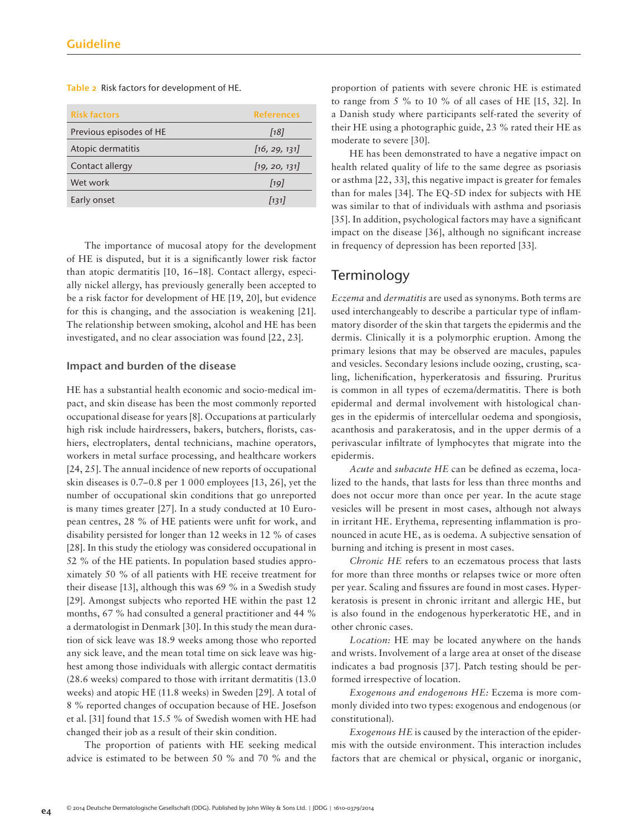Table 2 Risk factors for development of HE.

| <b>Risk factors</b>     | <b>References</b>  |
|-------------------------|--------------------|
| Previous episodes of HE | $\lceil 18 \rceil$ |
| Atopic dermatitis       | [16, 29, 131]      |
| Contact allergy         | [19, 20, 131]      |
| Wet work                | $[19]$             |
| Early onset             | 131                |

The importance of mucosal atopy for the development of HE is disputed, but it is a significantly lower risk factor than atopic dermatitis [10, 16–18]. Contact allergy, especially nickel allergy, has previously generally been accepted to be a risk factor for development of HE [19, 20], but evidence for this is changing, and the association is weakening [21]. The relationship between smoking, alcohol and HE has been investigated, and no clear association was found [22, 23].

#### Impact and burden of the disease

HE has a substantial health economic and socio-medical impact, and skin disease has been the most commonly reported occupational disease for years [8]. Occupations at particularly high risk include hairdressers, bakers, butchers, florists, cashiers, electroplaters, dental technicians, machine operators, workers in metal surface processing, and healthcare workers [24, 25]. The annual incidence of new reports of occupational skin diseases is 0.7–0.8 per 1 000 employees [13, 26], yet the number of occupational skin conditions that go unreported is many times greater [27]. In a study conducted at 10 European centres, 28 % of HE patients were unfit for work, and disability persisted for longer than 12 weeks in 12 % of cases [28]. In this study the etiology was considered occupational in 52 % of the HE patients. In population based studies approximately 50 % of all patients with HE receive treatment for their disease [13], although this was 69 % in a Swedish study [29]. Amongst subjects who reported HE within the past 12 months, 67 % had consulted a general practitioner and 44 % a dermatologist in Denmark [30]. In this study the mean duration of sick leave was 18.9 weeks among those who reported any sick leave, and the mean total time on sick leave was highest among those individuals with allergic contact dermatitis (28.6 weeks) compared to those with irritant dermatitis (13.0 weeks) and atopic HE (11.8 weeks) in Sweden [29]. A total of 8 % reported changes of occupation because of HE. Josefson et al. [31] found that 15.5 % of Swedish women with HE had changed their job as a result of their skin condition.

The proportion of patients with HE seeking medical advice is estimated to be between 50 % and 70 % and the proportion of patients with severe chronic HE is estimated to range from 5 % to 10 % of all cases of HE [15, 32]. In a Danish study where participants self-rated the severity of their HE using a photographic guide, 23 % rated their HE as moderate to severe [30].

HE has been demonstrated to have a negative impact on health related quality of life to the same degree as psoriasis or asthma [22, 33], this negative impact is greater for females than for males [34]. The EQ-5D index for subjects with HE was similar to that of individuals with asthma and psoriasis [35]. In addition, psychological factors may have a significant impact on the disease [36], although no significant increase in frequency of depression has been reported [33].

# **Terminology**

*Eczema* and *dermatitis* are used as synonyms. Both terms are used interchangeably to describe a particular type of inflammatory disorder of the skin that targets the epidermis and the dermis. Clinically it is a polymorphic eruption. Among the primary lesions that may be observed are macules, papules and vesicles. Secondary lesions include oozing, crusting, scaling, lichenification, hyperkeratosis and fissuring. Pruritus is common in all types of eczema/dermatitis. There is both epidermal and dermal involvement with histological changes in the epidermis of intercellular oedema and spongiosis, acanthosis and parakeratosis, and in the upper dermis of a perivascular infiltrate of lymphocytes that migrate into the epidermis.

*Acute* and *subacute HE* can be defined as eczema, localized to the hands, that lasts for less than three months and does not occur more than once per year. In the acute stage vesicles will be present in most cases, although not always in irritant HE. Erythema, representing inflammation is pronounced in acute HE, as is oedema. A subjective sensation of burning and itching is present in most cases.

*Chronic HE* refers to an eczematous process that lasts for more than three months or relapses twice or more often per year. Scaling and fissures are found in most cases. Hyperkeratosis is present in chronic irritant and allergic HE, but is also found in the endogenous hyperkeratotic HE, and in other chronic cases.

*Location:* HE may be located anywhere on the hands and wrists. Involvement of a large area at onset of the disease indicates a bad prognosis [37]. Patch testing should be performed irrespective of location.

*Exogenous and endogenous HE:* Eczema is more commonly divided into two types: exogenous and endogenous (or constitutional).

*Exogenous HE* is caused by the interaction of the epidermis with the outside environment. This interaction includes factors that are chemical or physical, organic or inorganic,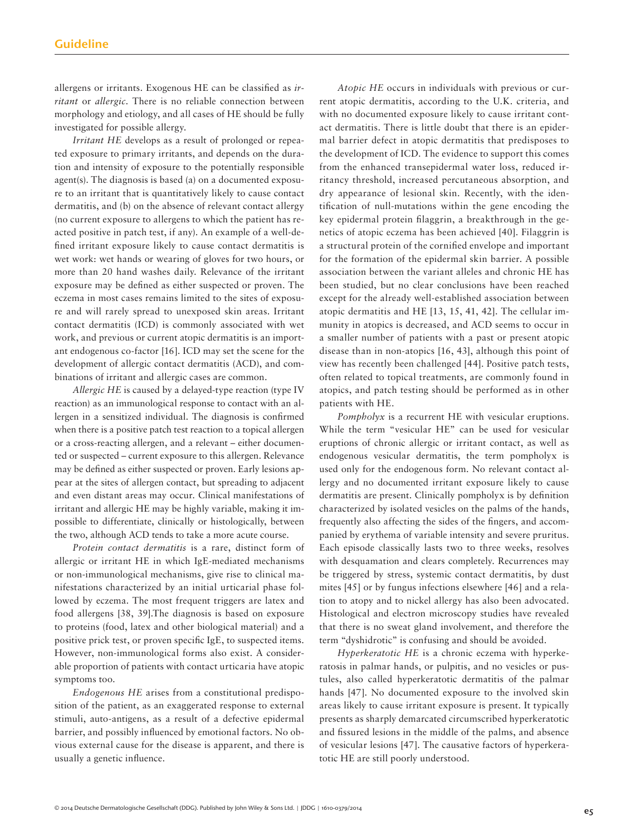allergens or irritants. Exogenous HE can be classified as *irritant* or *allergic*. There is no reliable connection between morphology and etiology, and all cases of HE should be fully investigated for possible allergy.

*Irritant HE* develops as a result of prolonged or repeated exposure to primary irritants, and depends on the duration and intensity of exposure to the potentially responsible agent(s). The diagnosis is based (a) on a documented exposure to an irritant that is quantitatively likely to cause contact dermatitis, and (b) on the absence of relevant contact allergy (no current exposure to allergens to which the patient has reacted positive in patch test, if any). An example of a well-defined irritant exposure likely to cause contact dermatitis is wet work: wet hands or wearing of gloves for two hours, or more than 20 hand washes daily. Relevance of the irritant exposure may be defined as either suspected or proven. The eczema in most cases remains limited to the sites of exposure and will rarely spread to unexposed skin areas. Irritant contact dermatitis (ICD) is commonly associated with wet work, and previous or current atopic dermatitis is an important endogenous co-factor [16]. ICD may set the scene for the development of allergic contact dermatitis (ACD), and combinations of irritant and allergic cases are common.

*Allergic HE* is caused by a delayed-type reaction (type IV reaction) as an immunological response to contact with an allergen in a sensitized individual. The diagnosis is confirmed when there is a positive patch test reaction to a topical allergen or a cross-reacting allergen, and a relevant – either documented or suspected – current exposure to this allergen. Relevance may be defined as either suspected or proven. Early lesions appear at the sites of allergen contact, but spreading to adjacent and even distant areas may occur. Clinical manifestations of irritant and allergic HE may be highly variable, making it impossible to differentiate, clinically or histologically, between the two, although ACD tends to take a more acute course.

*Protein contact dermatitis* is a rare, distinct form of allergic or irritant HE in which IgE-mediated mechanisms or non-immunological mechanisms, give rise to clinical manifestations characterized by an initial urticarial phase followed by eczema. The most frequent triggers are latex and food allergens [38, 39].The diagnosis is based on exposure to proteins (food, latex and other biological material) and a positive prick test, or proven specific IgE, to suspected items. However, non-immunological forms also exist. A considerable proportion of patients with contact urticaria have atopic symptoms too.

*Endogenous HE* arises from a constitutional predisposition of the patient, as an exaggerated response to external stimuli, auto-antigens, as a result of a defective epidermal barrier, and possibly influenced by emotional factors. No obvious external cause for the disease is apparent, and there is usually a genetic influence.

*Atopic HE* occurs in individuals with previous or current atopic dermatitis, according to the U.K. criteria, and with no documented exposure likely to cause irritant contact dermatitis. There is little doubt that there is an epidermal barrier defect in atopic dermatitis that predisposes to the development of ICD. The evidence to support this comes from the enhanced transepidermal water loss, reduced irritancy threshold, increased percutaneous absorption, and dry appearance of lesional skin. Recently, with the identification of null-mutations within the gene encoding the key epidermal protein filaggrin, a breakthrough in the genetics of atopic eczema has been achieved [40]. Filaggrin is a structural protein of the cornified envelope and important for the formation of the epidermal skin barrier. A possible association between the variant alleles and chronic HE has been studied, but no clear conclusions have been reached except for the already well-established association between atopic dermatitis and HE [13, 15, 41, 42]. The cellular immunity in atopics is decreased, and ACD seems to occur in a smaller number of patients with a past or present atopic disease than in non-atopics [16, 43], although this point of view has recently been challenged [44]. Positive patch tests, often related to topical treatments, are commonly found in atopics, and patch testing should be performed as in other patients with HE.

*Pompholyx* is a recurrent HE with vesicular eruptions. While the term "vesicular HE" can be used for vesicular eruptions of chronic allergic or irritant contact, as well as endogenous vesicular dermatitis, the term pompholyx is used only for the endogenous form. No relevant contact allergy and no documented irritant exposure likely to cause dermatitis are present. Clinically pompholyx is by definition characterized by isolated vesicles on the palms of the hands, frequently also affecting the sides of the fingers, and accompanied by erythema of variable intensity and severe pruritus. Each episode classically lasts two to three weeks, resolves with desquamation and clears completely. Recurrences may be triggered by stress, systemic contact dermatitis, by dust mites [45] or by fungus infections elsewhere [46] and a relation to atopy and to nickel allergy has also been advocated. Histological and electron microscopy studies have revealed that there is no sweat gland involvement, and therefore the term "dyshidrotic" is confusing and should be avoided.

*Hyperkeratotic HE* is a chronic eczema with hyperkeratosis in palmar hands, or pulpitis, and no vesicles or pustules, also called hyperkeratotic dermatitis of the palmar hands [47]. No documented exposure to the involved skin areas likely to cause irritant exposure is present. It typically presents as sharply demarcated circumscribed hyperkeratotic and fissured lesions in the middle of the palms, and absence of vesicular lesions [47]. The causative factors of hyperkeratotic HE are still poorly understood.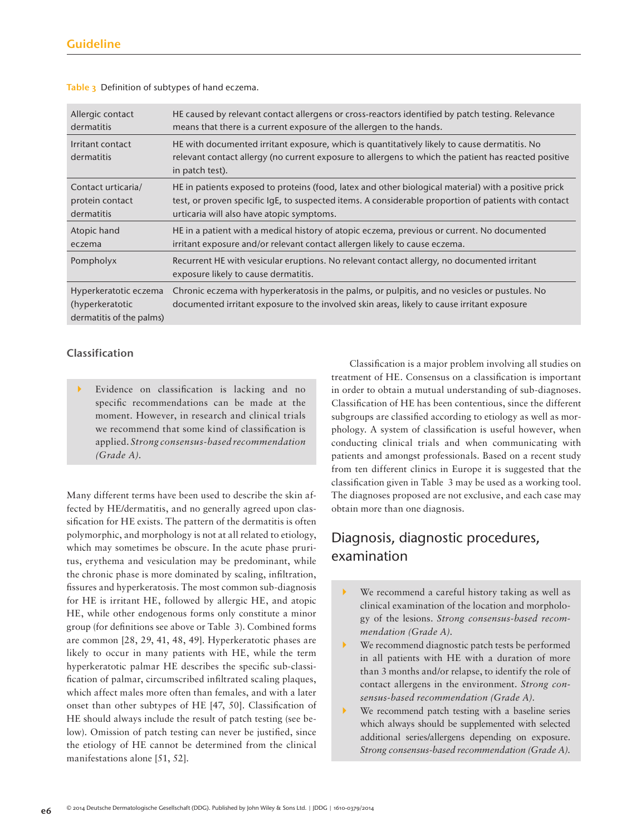| Allergic contact<br>dermatitis                                       | HE caused by relevant contact allergens or cross-reactors identified by patch testing. Relevance<br>means that there is a current exposure of the allergen to the hands.                                                                                  |
|----------------------------------------------------------------------|-----------------------------------------------------------------------------------------------------------------------------------------------------------------------------------------------------------------------------------------------------------|
| Irritant contact<br>dermatitis                                       | HE with documented irritant exposure, which is quantitatively likely to cause dermatitis. No<br>relevant contact allergy (no current exposure to allergens to which the patient has reacted positive<br>in patch test).                                   |
| Contact urticaria/<br>protein contact<br>dermatitis                  | HE in patients exposed to proteins (food, latex and other biological material) with a positive prick<br>test, or proven specific IqE, to suspected items. A considerable proportion of patients with contact<br>urticaria will also have atopic symptoms. |
| Atopic hand<br>eczema                                                | HE in a patient with a medical history of atopic eczema, previous or current. No documented<br>irritant exposure and/or relevant contact allergen likely to cause eczema.                                                                                 |
| Pompholyx                                                            | Recurrent HE with vesicular eruptions. No relevant contact allergy, no documented irritant<br>exposure likely to cause dermatitis.                                                                                                                        |
| Hyperkeratotic eczema<br>(hyperkeratotic<br>dermatitis of the palms) | Chronic eczema with hyperkeratosis in the palms, or pulpitis, and no vesicles or pustules. No<br>documented irritant exposure to the involved skin areas, likely to cause irritant exposure                                                               |

Table 3 Definition of subtypes of hand eczema.

#### Classification

 Evidence on classification is lacking and no specific recommendations can be made at the moment. However, in research and clinical trials we recommend that some kind of classification is applied. *Strong consensus-based recommendation (Grade A).*

Many different terms have been used to describe the skin affected by HE/dermatitis, and no generally agreed upon classification for HE exists. The pattern of the dermatitis is often polymorphic, and morphology is not at all related to etiology, which may sometimes be obscure. In the acute phase pruritus, erythema and vesiculation may be predominant, while the chronic phase is more dominated by scaling, infiltration, fissures and hyperkeratosis. The most common sub-diagnosis for HE is irritant HE, followed by allergic HE, and atopic HE, while other endogenous forms only constitute a minor group (for definitions see above or Table 3). Combined forms are common [28, 29, 41, 48, 49]. Hyperkeratotic phases are likely to occur in many patients with HE, while the term hyperkeratotic palmar HE describes the specific sub-classification of palmar, circumscribed infiltrated scaling plaques, which affect males more often than females, and with a later onset than other subtypes of HE [47, 50]. Classification of HE should always include the result of patch testing (see below). Omission of patch testing can never be justified, since the etiology of HE cannot be determined from the clinical manifestations alone [51, 52].

Classification is a major problem involving all studies on treatment of HE. Consensus on a classification is important in order to obtain a mutual understanding of sub-diagnoses. Classification of HE has been contentious, since the different subgroups are classified according to etiology as well as morphology. A system of classification is useful however, when conducting clinical trials and when communicating with patients and amongst professionals. Based on a recent study from ten different clinics in Europe it is suggested that the classification given in Table 3 may be used as a working tool. The diagnoses proposed are not exclusive, and each case may obtain more than one diagnosis.

# Diagnosis, diagnostic procedures, examination

- We recommend a careful history taking as well as clinical examination of the location and morphology of the lesions. *Strong consensus-based recommendation (Grade A)*.
- We recommend diagnostic patch tests be performed in all patients with HE with a duration of more than 3 months and/or relapse, to identify the role of contact allergens in the environment*. Strong consensus-based recommendation (Grade A).*
- We recommend patch testing with a baseline series which always should be supplemented with selected additional series/allergens depending on exposure. *Strong consensus-based recommendation (Grade A).*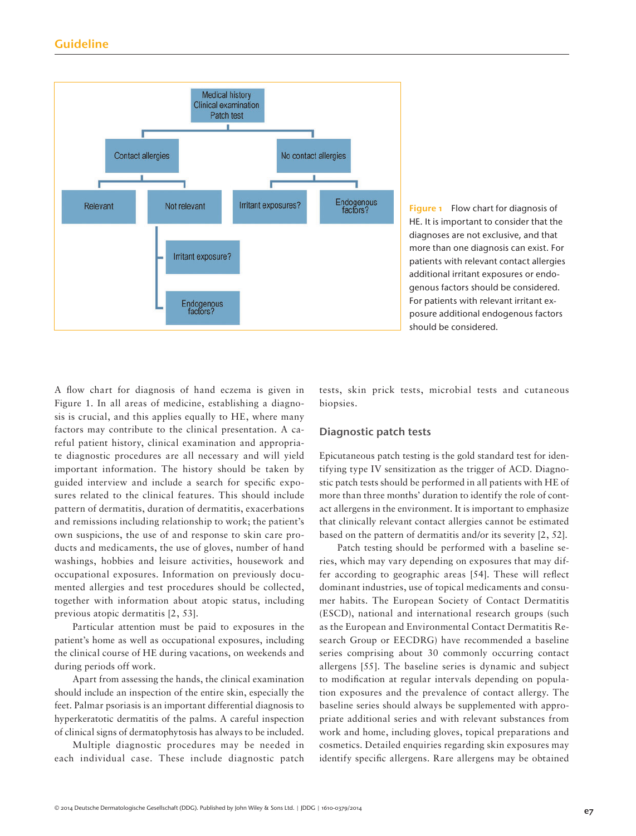

Figure 1 Flow chart for diagnosis of HE. It is important to consider that the diagnoses are not exclusive, and that more than one diagnosis can exist. For patients with relevant contact allergies additional irritant exposures or endogenous factors should be considered. For patients with relevant irritant exposure additional endogenous factors should be considered.

A flow chart for diagnosis of hand eczema is given in Figure 1. In all areas of medicine, establishing a diagnosis is crucial, and this applies equally to HE, where many factors may contribute to the clinical presentation. A careful patient history, clinical examination and appropriate diagnostic procedures are all necessary and will yield important information. The history should be taken by guided interview and include a search for specific exposures related to the clinical features. This should include pattern of dermatitis, duration of dermatitis, exacerbations and remissions including relationship to work; the patient's own suspicions, the use of and response to skin care products and medicaments, the use of gloves, number of hand washings, hobbies and leisure activities, housework and occupational exposures. Information on previously documented allergies and test procedures should be collected, together with information about atopic status, including previous atopic dermatitis [2, 53].

Particular attention must be paid to exposures in the patient's home as well as occupational exposures, including the clinical course of HE during vacations, on weekends and during periods off work.

Apart from assessing the hands, the clinical examination should include an inspection of the entire skin, especially the feet. Palmar psoriasis is an important differential diagnosis to hyperkeratotic dermatitis of the palms. A careful inspection of clinical signs of dermatophytosis has always to be included.

Multiple diagnostic procedures may be needed in each individual case. These include diagnostic patch tests, skin prick tests, microbial tests and cutaneous biopsies.

#### Diagnostic patch tests

Epicutaneous patch testing is the gold standard test for identifying type IV sensitization as the trigger of ACD. Diagnostic patch tests should be performed in all patients with HE of more than three months' duration to identify the role of contact allergens in the environment. It is important to emphasize that clinically relevant contact allergies cannot be estimated based on the pattern of dermatitis and/or its severity [2, 52].

Patch testing should be performed with a baseline series, which may vary depending on exposures that may differ according to geographic areas [54]. These will reflect dominant industries, use of topical medicaments and consumer habits. The European Society of Contact Dermatitis (ESCD), national and international research groups (such as the European and Environmental Contact Dermatitis Research Group or EECDRG) have recommended a baseline series comprising about 30 commonly occurring contact allergens [55]. The baseline series is dynamic and subject to modification at regular intervals depending on population exposures and the prevalence of contact allergy. The baseline series should always be supplemented with appropriate additional series and with relevant substances from work and home, including gloves, topical preparations and cosmetics. Detailed enquiries regarding skin exposures may identify specific allergens. Rare allergens may be obtained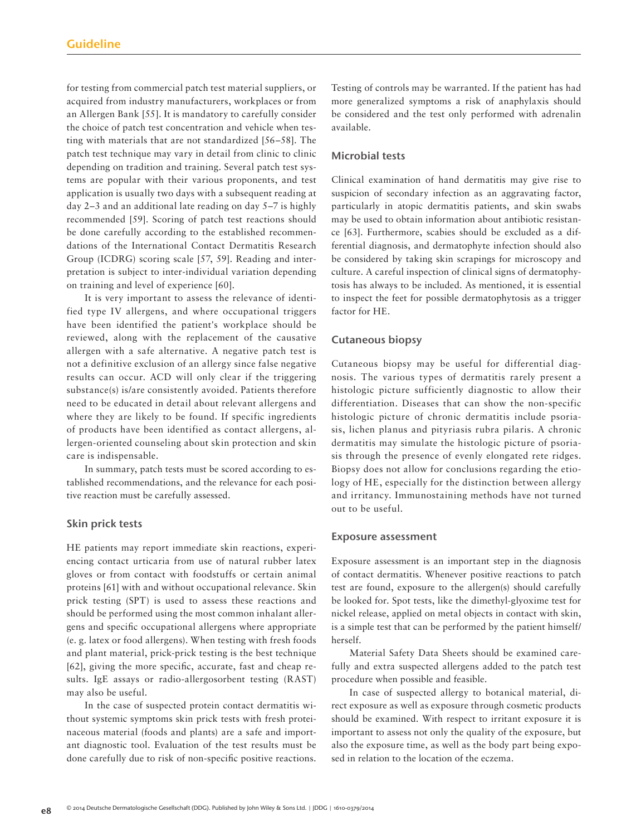for testing from commercial patch test material suppliers, or acquired from industry manufacturers, workplaces or from an Allergen Bank [55]. It is mandatory to carefully consider the choice of patch test concentration and vehicle when testing with materials that are not standardized [56–58]. The patch test technique may vary in detail from clinic to clinic depending on tradition and training. Several patch test systems are popular with their various proponents, and test application is usually two days with a subsequent reading at day 2–3 and an additional late reading on day 5–7 is highly recommended [59]. Scoring of patch test reactions should be done carefully according to the established recommendations of the International Contact Dermatitis Research Group (ICDRG) scoring scale [57, 59]. Reading and interpretation is subject to inter-individual variation depending on training and level of experience [60].

It is very important to assess the relevance of identified type IV allergens, and where occupational triggers have been identified the patient's workplace should be reviewed, along with the replacement of the causative allergen with a safe alternative. A negative patch test is not a definitive exclusion of an allergy since false negative results can occur. ACD will only clear if the triggering substance(s) is/are consistently avoided. Patients therefore need to be educated in detail about relevant allergens and where they are likely to be found. If specific ingredients of products have been identified as contact allergens, allergen-oriented counseling about skin protection and skin care is indispensable.

In summary, patch tests must be scored according to established recommendations, and the relevance for each positive reaction must be carefully assessed.

#### Skin prick tests

HE patients may report immediate skin reactions, experiencing contact urticaria from use of natural rubber latex gloves or from contact with foodstuffs or certain animal proteins [61] with and without occupational relevance. Skin prick testing (SPT) is used to assess these reactions and should be performed using the most common inhalant allergens and specific occupational allergens where appropriate (e. g. latex or food allergens). When testing with fresh foods and plant material, prick-prick testing is the best technique [62], giving the more specific, accurate, fast and cheap results. IgE assays or radio-allergosorbent testing (RAST) may also be useful.

In the case of suspected protein contact dermatitis without systemic symptoms skin prick tests with fresh proteinaceous material (foods and plants) are a safe and important diagnostic tool. Evaluation of the test results must be done carefully due to risk of non-specific positive reactions.

Testing of controls may be warranted. If the patient has had more generalized symptoms a risk of anaphylaxis should be considered and the test only performed with adrenalin available.

#### Microbial tests

Clinical examination of hand dermatitis may give rise to suspicion of secondary infection as an aggravating factor, particularly in atopic dermatitis patients, and skin swabs may be used to obtain information about antibiotic resistance [63]. Furthermore, scabies should be excluded as a differential diagnosis, and dermatophyte infection should also be considered by taking skin scrapings for microscopy and culture. A careful inspection of clinical signs of dermatophytosis has always to be included. As mentioned, it is essential to inspect the feet for possible dermatophytosis as a trigger factor for HE.

#### Cutaneous biopsy

Cutaneous biopsy may be useful for differential diagnosis. The various types of dermatitis rarely present a histologic picture sufficiently diagnostic to allow their differentiation. Diseases that can show the non-specific histologic picture of chronic dermatitis include psoriasis, lichen planus and pityriasis rubra pilaris. A chronic dermatitis may simulate the histologic picture of psoriasis through the presence of evenly elongated rete ridges. Biopsy does not allow for conclusions regarding the etiology of HE, especially for the distinction between allergy and irritancy. Immunostaining methods have not turned out to be useful.

#### Exposure assessment

Exposure assessment is an important step in the diagnosis of contact dermatitis. Whenever positive reactions to patch test are found, exposure to the allergen(s) should carefully be looked for. Spot tests, like the dimethyl-glyoxime test for nickel release, applied on metal objects in contact with skin, is a simple test that can be performed by the patient himself/ herself.

Material Safety Data Sheets should be examined carefully and extra suspected allergens added to the patch test procedure when possible and feasible.

In case of suspected allergy to botanical material, direct exposure as well as exposure through cosmetic products should be examined. With respect to irritant exposure it is important to assess not only the quality of the exposure, but also the exposure time, as well as the body part being exposed in relation to the location of the eczema.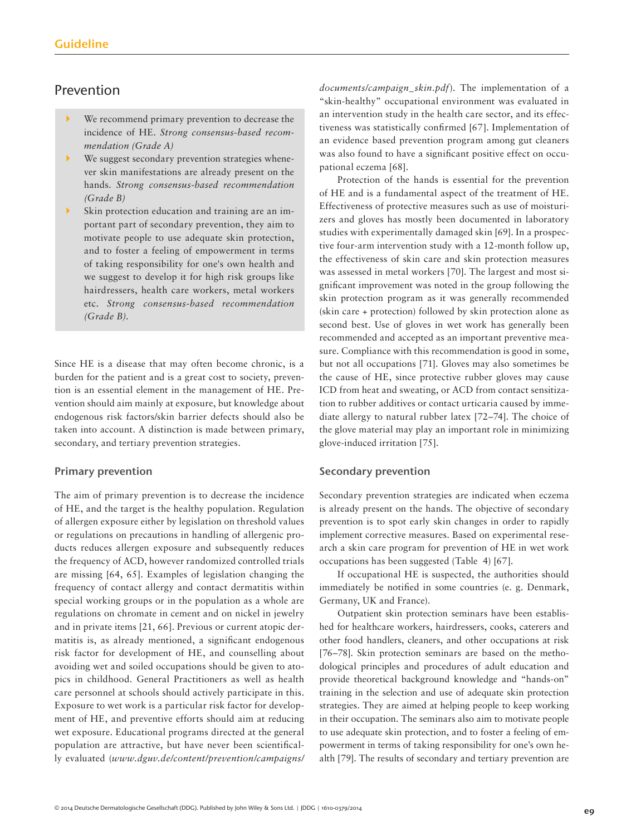# Prevention

- We recommend primary prevention to decrease the incidence of HE. *Strong consensus-based recommendation (Grade A)*
- We suggest secondary prevention strategies whenever skin manifestations are already present on the hands. *Strong consensus-based recommendation (Grade B)*
- Skin protection education and training are an important part of secondary prevention, they aim to motivate people to use adequate skin protection, and to foster a feeling of empowerment in terms of taking responsibility for one's own health and we suggest to develop it for high risk groups like hairdressers, health care workers, metal workers etc. *Strong consensus-based recommendation (Grade B).*

Since HE is a disease that may often become chronic, is a burden for the patient and is a great cost to society, prevention is an essential element in the management of HE. Prevention should aim mainly at exposure, but knowledge about endogenous risk factors/skin barrier defects should also be taken into account. A distinction is made between primary, secondary, and tertiary prevention strategies.

#### Primary prevention

The aim of primary prevention is to decrease the incidence of HE, and the target is the healthy population. Regulation of allergen exposure either by legislation on threshold values or regulations on precautions in handling of allergenic products reduces allergen exposure and subsequently reduces the frequency of ACD, however randomized controlled trials are missing [64, 65]. Examples of legislation changing the frequency of contact allergy and contact dermatitis within special working groups or in the population as a whole are regulations on chromate in cement and on nickel in jewelry and in private items [21, 66]. Previous or current atopic dermatitis is, as already mentioned, a significant endogenous risk factor for development of HE, and counselling about avoiding wet and soiled occupations should be given to atopics in childhood. General Practitioners as well as health care personnel at schools should actively participate in this. Exposure to wet work is a particular risk factor for development of HE, and preventive efforts should aim at reducing wet exposure. Educational programs directed at the general population are attractive, but have never been scientifically evaluated (*www.dguv.de/content/prevention/campaigns/* *documents/campaign\_skin.pdf*). The implementation of a "skin-healthy" occupational environment was evaluated in an intervention study in the health care sector, and its effectiveness was statistically confirmed [67]. Implementation of an evidence based prevention program among gut cleaners was also found to have a significant positive effect on occupational eczema [68].

Protection of the hands is essential for the prevention of HE and is a fundamental aspect of the treatment of HE. Effectiveness of protective measures such as use of moisturizers and gloves has mostly been documented in laboratory studies with experimentally damaged skin [69]. In a prospective four-arm intervention study with a 12-month follow up, the effectiveness of skin care and skin protection measures was assessed in metal workers [70]. The largest and most significant improvement was noted in the group following the skin protection program as it was generally recommended (skin care + protection) followed by skin protection alone as second best. Use of gloves in wet work has generally been recommended and accepted as an important preventive measure. Compliance with this recommendation is good in some, but not all occupations [71]. Gloves may also sometimes be the cause of HE, since protective rubber gloves may cause ICD from heat and sweating, or ACD from contact sensitization to rubber additives or contact urticaria caused by immediate allergy to natural rubber latex [72–74]. The choice of the glove material may play an important role in minimizing glove-induced irritation [75].

#### Secondary prevention

Secondary prevention strategies are indicated when eczema is already present on the hands. The objective of secondary prevention is to spot early skin changes in order to rapidly implement corrective measures. Based on experimental research a skin care program for prevention of HE in wet work occupations has been suggested (Table 4) [67].

If occupational HE is suspected, the authorities should immediately be notified in some countries (e. g. Denmark, Germany, UK and France).

Outpatient skin protection seminars have been established for healthcare workers, hairdressers, cooks, caterers and other food handlers, cleaners, and other occupations at risk [76–78]. Skin protection seminars are based on the methodological principles and procedures of adult education and provide theoretical background knowledge and "hands-on" training in the selection and use of adequate skin protection strategies. They are aimed at helping people to keep working in their occupation. The seminars also aim to motivate people to use adequate skin protection, and to foster a feeling of empowerment in terms of taking responsibility for one's own health [79]. The results of secondary and tertiary prevention are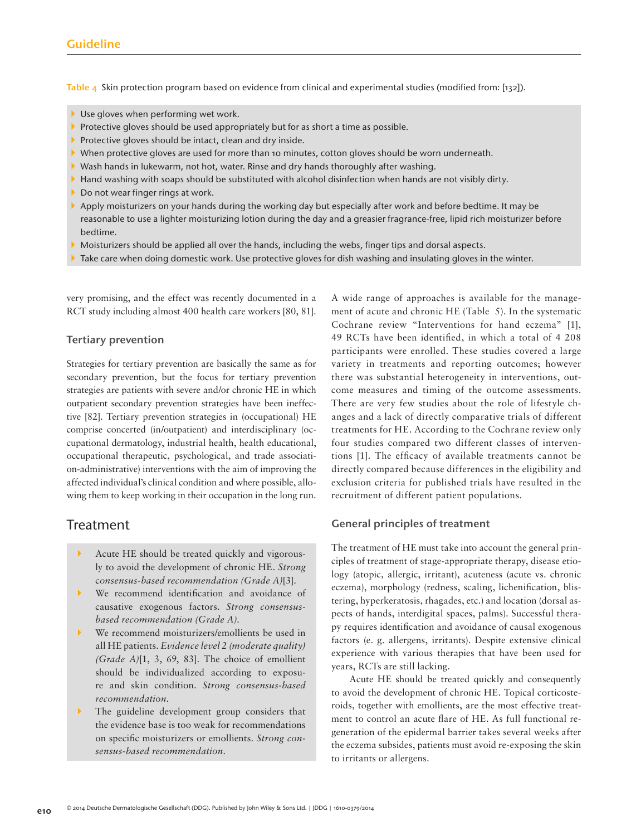Table 4 Skin protection program based on evidence from clinical and experimental studies (modified from: [132]).

- Use gloves when performing wet work.
- Protective gloves should be used appropriately but for as short a time as possible.
- Protective gloves should be intact, clean and dry inside.
- When protective gloves are used for more than 10 minutes, cotton gloves should be worn underneath.
- Wash hands in lukewarm, not hot, water. Rinse and dry hands thoroughly after washing.
- Hand washing with soaps should be substituted with alcohol disinfection when hands are not visibly dirty.
- ▶ Do not wear finger rings at work.
- Apply moisturizers on your hands during the working day but especially after work and before bedtime. It may be reasonable to use a lighter moisturizing lotion during the day and a greasier fragrance-free, lipid rich moisturizer before bedtime.
- Moisturizers should be applied all over the hands, including the webs, finger tips and dorsal aspects.
- Take care when doing domestic work. Use protective gloves for dish washing and insulating gloves in the winter.

very promising, and the effect was recently documented in a RCT study including almost 400 health care workers [80, 81].

#### Tertiary prevention

Strategies for tertiary prevention are basically the same as for secondary prevention, but the focus for tertiary prevention strategies are patients with severe and/or chronic HE in which outpatient secondary prevention strategies have been ineffective [82]. Tertiary prevention strategies in (occupational) HE comprise concerted (in/outpatient) and interdisciplinary (occupational dermatology, industrial health, health educational, occupational therapeutic, psychological, and trade association-administrative) interventions with the aim of improving the affected individual's clinical condition and where possible, allowing them to keep working in their occupation in the long run.

### **Treatment**

- Acute HE should be treated quickly and vigorously to avoid the development of chronic HE. *Strong* c*onsensus-based recommendation (Grade A)*[3].
- We recommend identification and avoidance of causative exogenous factors. *Strong consensusbased recommendation (Grade A).*
- We recommend moisturizers/emollients be used in all HE patients. *Evidence level 2 (moderate quality) (Grade A)*[1, 3, 69, 83]. The choice of emollient should be individualized according to exposure and skin condition. *Strong consensus-based recommendation.*
- The guideline development group considers that the evidence base is too weak for recommendations on specific moisturizers or emollients. *Strong consensus-based recommendation.*

A wide range of approaches is available for the management of acute and chronic HE (Table 5). In the systematic Cochrane review "Interventions for hand eczema" [1], 49 RCTs have been identified, in which a total of 4 208 participants were enrolled. These studies covered a large variety in treatments and reporting outcomes; however there was substantial heterogeneity in interventions, outcome measures and timing of the outcome assessments. There are very few studies about the role of lifestyle changes and a lack of directly comparative trials of different treatments for HE. According to the Cochrane review only four studies compared two different classes of interventions [1]. The efficacy of available treatments cannot be directly compared because differences in the eligibility and exclusion criteria for published trials have resulted in the recruitment of different patient populations.

#### General principles of treatment

The treatment of HE must take into account the general principles of treatment of stage-appropriate therapy, disease etiology (atopic, allergic, irritant), acuteness (acute vs. chronic eczema), morphology (redness, scaling, lichenification, blistering, hyperkeratosis, rhagades, etc.) and location (dorsal aspects of hands, interdigital spaces, palms). Successful therapy requires identification and avoidance of causal exogenous factors (e. g. allergens, irritants). Despite extensive clinical experience with various therapies that have been used for years, RCTs are still lacking.

Acute HE should be treated quickly and consequently to avoid the development of chronic HE. Topical corticosteroids, together with emollients, are the most effective treatment to control an acute flare of HE. As full functional regeneration of the epidermal barrier takes several weeks after the eczema subsides, patients must avoid re-exposing the skin to irritants or allergens.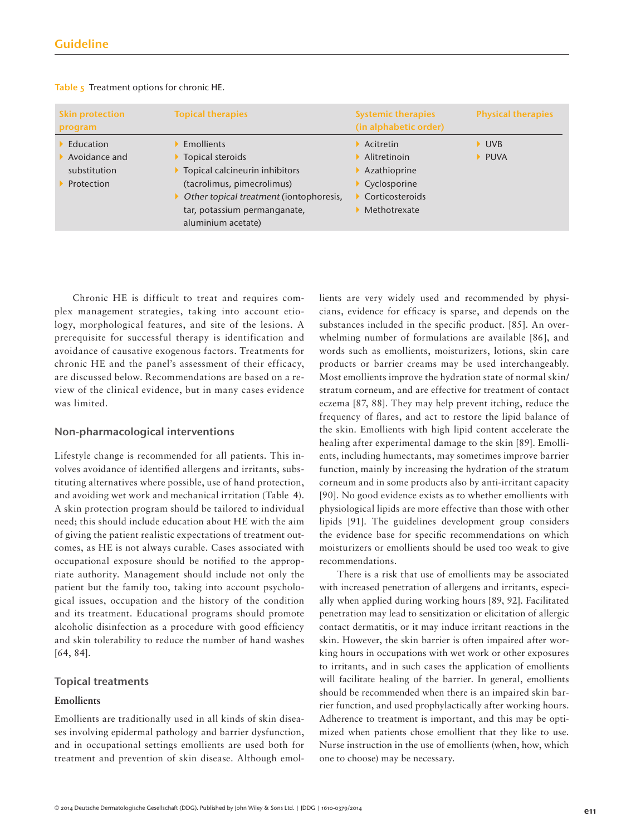| <b>Skin protection</b><br>program                        | <b>Topical therapies</b>                                                                                                                                                                               | <b>Systemic therapies</b><br>(in alphabetic order)                                                                 | <b>Physical therapies</b>    |
|----------------------------------------------------------|--------------------------------------------------------------------------------------------------------------------------------------------------------------------------------------------------------|--------------------------------------------------------------------------------------------------------------------|------------------------------|
| Education<br>Avoidance and<br>substitution<br>Protection | <b>Emollients</b><br>Topical steroids<br>Topical calcineurin inhibitors<br>(tacrolimus, pimecrolimus)<br>Other topical treatment (iontophoresis,<br>tar, potassium permanganate,<br>aluminium acetate) | $\blacktriangleright$ Acitretin<br>Alitretinoin<br>Azathioprine<br>Cyclosporine<br>Corticosteroids<br>Methotrexate | $\triangleright$ UVB<br>PUVA |

|  | Table 5 Treatment options for chronic HE. |  |  |
|--|-------------------------------------------|--|--|
|--|-------------------------------------------|--|--|

Chronic HE is difficult to treat and requires complex management strategies, taking into account etiology, morphological features, and site of the lesions. A prerequisite for successful therapy is identification and avoidance of causative exogenous factors. Treatments for chronic HE and the panel's assessment of their efficacy, are discussed below. Recommendations are based on a review of the clinical evidence, but in many cases evidence was limited.

#### Non-pharmacological interventions

Lifestyle change is recommended for all patients. This involves avoidance of identified allergens and irritants, substituting alternatives where possible, use of hand protection, and avoiding wet work and mechanical irritation (Table 4). A skin protection program should be tailored to individual need; this should include education about HE with the aim of giving the patient realistic expectations of treatment outcomes, as HE is not always curable. Cases associated with occupational exposure should be notified to the appropriate authority. Management should include not only the patient but the family too, taking into account psychological issues, occupation and the history of the condition and its treatment. Educational programs should promote alcoholic disinfection as a procedure with good efficiency and skin tolerability to reduce the number of hand washes [64, 84].

#### Topical treatments

#### **Emollients**

Emollients are traditionally used in all kinds of skin diseases involving epidermal pathology and barrier dysfunction, and in occupational settings emollients are used both for treatment and prevention of skin disease. Although emollients are very widely used and recommended by physicians, evidence for efficacy is sparse, and depends on the substances included in the specific product. [85]. An overwhelming number of formulations are available [86], and words such as emollients, moisturizers, lotions, skin care products or barrier creams may be used interchangeably. Most emollients improve the hydration state of normal skin/ stratum corneum, and are effective for treatment of contact eczema [87, 88]. They may help prevent itching, reduce the frequency of flares, and act to restore the lipid balance of the skin. Emollients with high lipid content accelerate the healing after experimental damage to the skin [89]. Emollients, including humectants, may sometimes improve barrier function, mainly by increasing the hydration of the stratum corneum and in some products also by anti-irritant capacity [90]. No good evidence exists as to whether emollients with physiological lipids are more effective than those with other lipids [91]. The guidelines development group considers the evidence base for specific recommendations on which moisturizers or emollients should be used too weak to give recommendations.

There is a risk that use of emollients may be associated with increased penetration of allergens and irritants, especially when applied during working hours [89, 92]. Facilitated penetration may lead to sensitization or elicitation of allergic contact dermatitis, or it may induce irritant reactions in the skin. However, the skin barrier is often impaired after working hours in occupations with wet work or other exposures to irritants, and in such cases the application of emollients will facilitate healing of the barrier. In general, emollients should be recommended when there is an impaired skin barrier function, and used prophylactically after working hours. Adherence to treatment is important, and this may be optimized when patients chose emollient that they like to use. Nurse instruction in the use of emollients (when, how, which one to choose) may be necessary.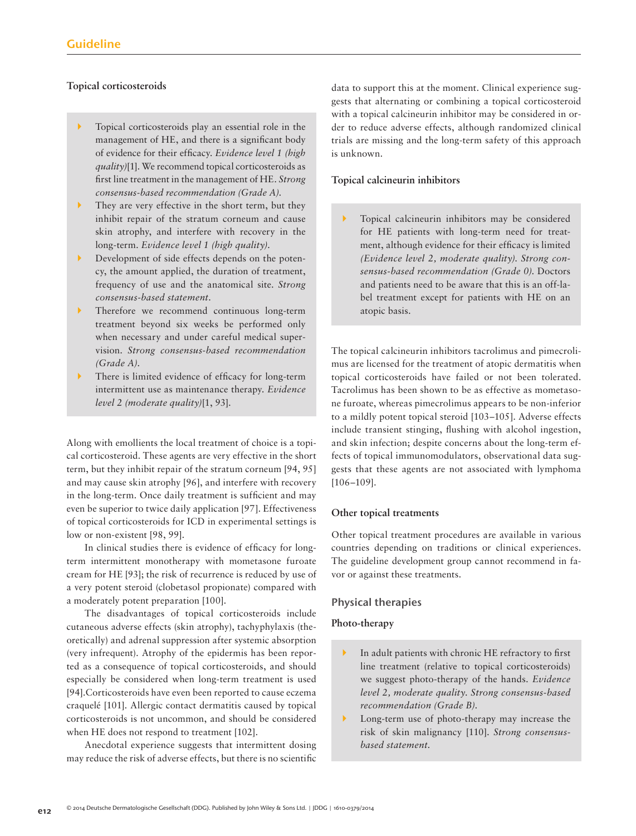## **Topical corticosteroids**

- Topical corticosteroids play an essential role in the management of HE, and there is a significant body of evidence for their efficacy. *Evidence level 1 (high quality)*[1]. We recommend topical corticosteroids as first line treatment in the management of HE. *Strong consensus-based recommendation (Grade A)*.
- They are very effective in the short term, but they inhibit repair of the stratum corneum and cause skin atrophy, and interfere with recovery in the long-term. *Evidence level 1 (high quality).*
- Development of side effects depends on the potency, the amount applied, the duration of treatment, frequency of use and the anatomical site. *Strong consensus-based statement.*
- **Therefore** we recommend continuous long-term treatment beyond six weeks be performed only when necessary and under careful medical supervision. *Strong consensus-based recommendation (Grade A).*
- There is limited evidence of efficacy for long-term intermittent use as maintenance therapy. *Evidence level 2 (moderate quality)*[1, 93].

Along with emollients the local treatment of choice is a topical corticosteroid. These agents are very effective in the short term, but they inhibit repair of the stratum corneum [94, 95] and may cause skin atrophy [96], and interfere with recovery in the long-term. Once daily treatment is sufficient and may even be superior to twice daily application [97]. Effectiveness of topical corticosteroids for ICD in experimental settings is low or non-existent [98, 99].

In clinical studies there is evidence of efficacy for longterm intermittent monotherapy with mometasone furoate cream for HE [93]; the risk of recurrence is reduced by use of a very potent steroid (clobetasol propionate) compared with a moderately potent preparation [100].

The disadvantages of topical corticosteroids include cutaneous adverse effects (skin atrophy), tachyphylaxis (theoretically) and adrenal suppression after systemic absorption (very infrequent). Atrophy of the epidermis has been reported as a consequence of topical corticosteroids, and should especially be considered when long-term treatment is used [94].Corticosteroids have even been reported to cause eczema craquelé [101]. Allergic contact dermatitis caused by topical corticosteroids is not uncommon, and should be considered when HE does not respond to treatment [102].

Anecdotal experience suggests that intermittent dosing may reduce the risk of adverse effects, but there is no scientific data to support this at the moment. Clinical experience suggests that alternating or combining a topical corticosteroid with a topical calcineurin inhibitor may be considered in order to reduce adverse effects, although randomized clinical trials are missing and the long-term safety of this approach is unknown.

#### **Topical calcineurin inhibitors**

 Topical calcineurin inhibitors may be considered for HE patients with long-term need for treatment, although evidence for their efficacy is limited *(Evidence level 2, moderate quality)*. *Strong consensus-based recommendation (Grade 0)*. Doctors and patients need to be aware that this is an off-label treatment except for patients with HE on an atopic basis.

The topical calcineurin inhibitors tacrolimus and pimecrolimus are licensed for the treatment of atopic dermatitis when topical corticosteroids have failed or not been tolerated. Tacrolimus has been shown to be as effective as mometasone furoate, whereas pimecrolimus appears to be non-inferior to a mildly potent topical steroid [103–105]. Adverse effects include transient stinging, flushing with alcohol ingestion, and skin infection; despite concerns about the long-term effects of topical immunomodulators, observational data suggests that these agents are not associated with lymphoma [106–109].

#### **Other topical treatments**

Other topical treatment procedures are available in various countries depending on traditions or clinical experiences. The guideline development group cannot recommend in favor or against these treatments.

#### Physical therapies

#### **Photo-therapy**

- In adult patients with chronic HE refractory to first line treatment (relative to topical corticosteroids) we suggest photo-therapy of the hands. *Evidence level 2, moderate quality. Strong consensus-based recommendation (Grade B)*.
- Long-term use of photo-therapy may increase the risk of skin malignancy [110]. *Strong consensusbased statement*.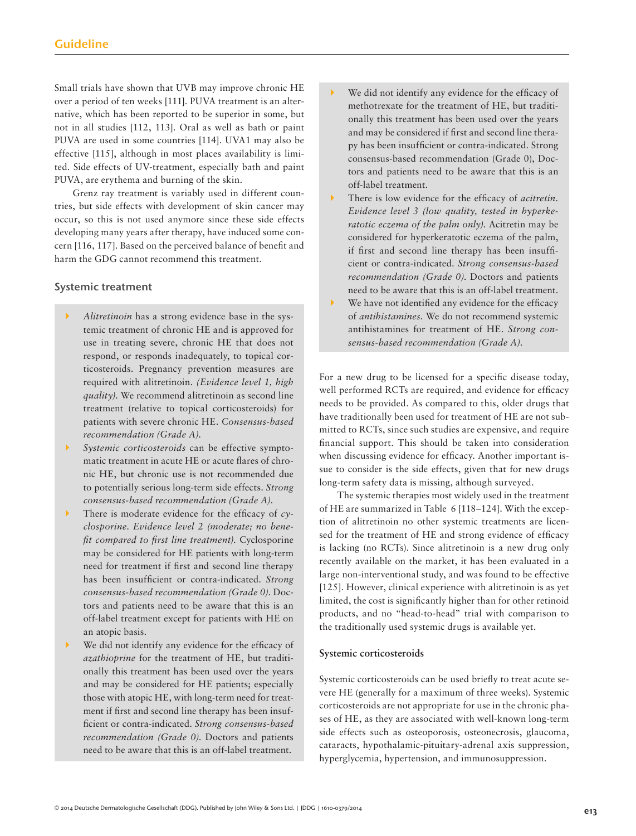Small trials have shown that UVB may improve chronic HE over a period of ten weeks [111]. PUVA treatment is an alternative, which has been reported to be superior in some, but not in all studies [112, 113]. Oral as well as bath or paint PUVA are used in some countries [114]. UVA1 may also be effective [115], although in most places availability is limited. Side effects of UV-treatment, especially bath and paint PUVA, are erythema and burning of the skin.

Grenz ray treatment is variably used in different countries, but side effects with development of skin cancer may occur, so this is not used anymore since these side effects developing many years after therapy, have induced some concern [116, 117]. Based on the perceived balance of benefit and harm the GDG cannot recommend this treatment.

#### Systemic treatment

- *Alitretinoin* has a strong evidence base in the systemic treatment of chronic HE and is approved for use in treating severe, chronic HE that does not respond, or responds inadequately, to topical corticosteroids. Pregnancy prevention measures are required with alitretinoin. *(Evidence level 1, high quality)*. We recommend alitretinoin as second line treatment (relative to topical corticosteroids) for patients with severe chronic HE. *Consensus-based recommendation (Grade A)*.
- *Systemic corticosteroids* can be effective symptomatic treatment in acute HE or acute flares of chronic HE, but chronic use is not recommended due to potentially serious long-term side effects. *Strong consensus-based recommendation (Grade A).*
- There is moderate evidence for the efficacy of *cyclosporine*. *Evidence level 2 (moderate; no benefit compared to first line treatment)*. Cyclosporine may be considered for HE patients with long-term need for treatment if first and second line therapy has been insufficient or contra-indicated. *Strong consensus-based recommendation (Grade 0)*. Doctors and patients need to be aware that this is an off-label treatment except for patients with HE on an atopic basis.
- We did not identify any evidence for the efficacy of *azathioprine* for the treatment of HE, but traditionally this treatment has been used over the years and may be considered for HE patients; especially those with atopic HE, with long-term need for treatment if first and second line therapy has been insufficient or contra-indicated. *Strong consensus-based recommendation (Grade 0)*. Doctors and patients need to be aware that this is an off-label treatment.
- We did not identify any evidence for the efficacy of methotrexate for the treatment of HE, but traditionally this treatment has been used over the years and may be considered if first and second line therapy has been insufficient or contra-indicated. Strong consensus-based recommendation (Grade 0), Doctors and patients need to be aware that this is an off-label treatment.
- There is low evidence for the efficacy of *acitretin. Evidence level 3 (low quality, tested in hyperkeratotic eczema of the palm only)*. Acitretin may be considered for hyperkeratotic eczema of the palm, if first and second line therapy has been insufficient or contra-indicated. *Strong consensus-based recommendation (Grade 0)*. Doctors and patients need to be aware that this is an off-label treatment.
- We have not identified any evidence for the efficacy of *antihistamines*. We do not recommend systemic antihistamines for treatment of HE. *Strong consensus-based recommendation (Grade A).*

For a new drug to be licensed for a specific disease today, well performed RCTs are required, and evidence for efficacy needs to be provided. As compared to this, older drugs that have traditionally been used for treatment of HE are not submitted to RCTs, since such studies are expensive, and require financial support. This should be taken into consideration when discussing evidence for efficacy. Another important issue to consider is the side effects, given that for new drugs long-term safety data is missing, although surveyed.

The systemic therapies most widely used in the treatment of HE are summarized in Table 6 [118–124]. With the exception of alitretinoin no other systemic treatments are licensed for the treatment of HE and strong evidence of efficacy is lacking (no RCTs). Since alitretinoin is a new drug only recently available on the market, it has been evaluated in a large non-interventional study, and was found to be effective [125]. However, clinical experience with alitretinoin is as yet limited, the cost is significantly higher than for other retinoid products, and no "head-to-head" trial with comparison to the traditionally used systemic drugs is available yet.

#### **Systemic corticosteroids**

Systemic corticosteroids can be used briefly to treat acute severe HE (generally for a maximum of three weeks). Systemic corticosteroids are not appropriate for use in the chronic phases of HE, as they are associated with well-known long-term side effects such as osteoporosis, osteonecrosis, glaucoma, cataracts, hypothalamic-pituitary-adrenal axis suppression, hyperglycemia, hypertension, and immunosuppression.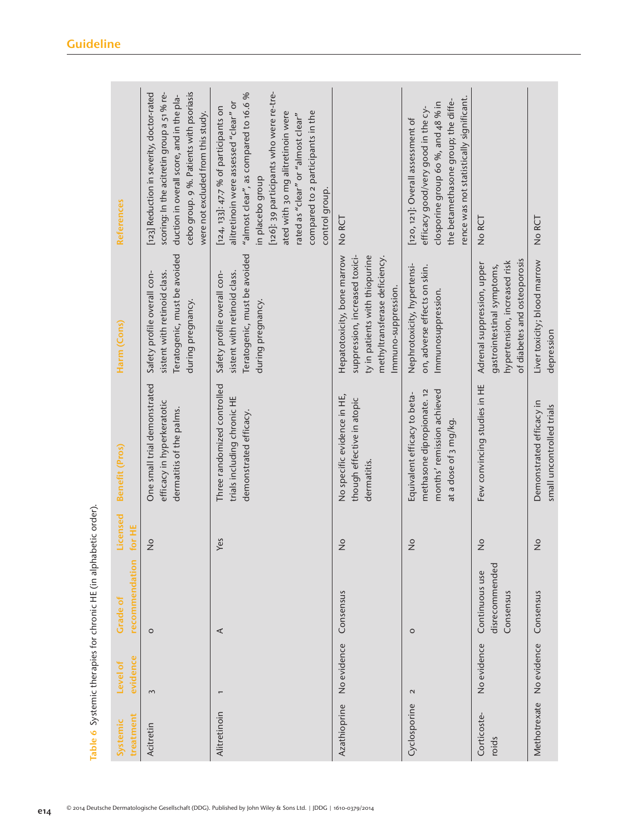| References                 | cebo group. 9%. Patients with psoriasis<br>[123] Reduction in severity, doctor-rated<br>scoring: In the acitretin group a 51 % re-<br>duction in overall score, and in the pla-<br>were not excluded from this study. | [126]: 39 participants who were re-tre-<br>"almost clear", as compared to 16.6 %<br>alitretinoin were assessed "clear" or<br>[124, 133]: 47.7 % of participants on<br>ated with 30 mg alitretinoin were<br>compared to 2 participants in the<br>rated as "clear" or "almost clear"<br>in placebo group<br>control group. | No RCT                                                                                                                                                  | rence was not statistically significant.<br>the betamethasone group; the diffe-<br>closporine group 60 %, and 48 % in<br>efficacy good/very good in the cy-<br>[120, 121]: Overall assessment of | No RCT                                                                                                                   |
|----------------------------|-----------------------------------------------------------------------------------------------------------------------------------------------------------------------------------------------------------------------|--------------------------------------------------------------------------------------------------------------------------------------------------------------------------------------------------------------------------------------------------------------------------------------------------------------------------|---------------------------------------------------------------------------------------------------------------------------------------------------------|--------------------------------------------------------------------------------------------------------------------------------------------------------------------------------------------------|--------------------------------------------------------------------------------------------------------------------------|
| Harm (Cons)                | Teratogenic, must be avoided<br>Safety profile overall con-<br>sistent with retinoid class.<br>during pregnancy.                                                                                                      | Teratogenic, must be avoided<br>Safety profile overall con-<br>sistent with retinoid class.<br>during pregnancy.                                                                                                                                                                                                         | ty in patients with thiopurine<br>Hepatotoxicity, bone marrow<br>suppression, increased toxici-<br>methyltransferase deficiency.<br>Immuno-suppression. | Nephrotoxicity, hypertensi-<br>on, adverse effects on skin.<br>Immunosuppression.                                                                                                                | of diabetes and osteoporosis<br>hypertension, increased risk<br>Adrenal suppression, upper<br>gastrointestinal symptoms, |
| Benefit (Pros)             | One small trial demonstrated<br>efficacy in hyperkeratotic<br>dermatitis of the palms.                                                                                                                                | Three randomized controlled<br>trials including chronic HE<br>demonstrated efficacy.                                                                                                                                                                                                                                     | No specific evidence in HE,<br>though effective in atopic<br>dermatitis.                                                                                | months' remission achieved<br>methasone dipropionate. 12<br>Equivalent efficacy to beta-<br>at a dose of 3 mg/kg                                                                                 | Few convincing studies in HE                                                                                             |
| Licensed<br>for HE         | $\stackrel{\circ}{\simeq}$                                                                                                                                                                                            | Yes                                                                                                                                                                                                                                                                                                                      | $\stackrel{\circ}{\simeq}$                                                                                                                              | $\stackrel{\circ}{\simeq}$                                                                                                                                                                       | $\frac{1}{2}$                                                                                                            |
| recommendation<br>Grade of | $\circ$                                                                                                                                                                                                               | $\prec$                                                                                                                                                                                                                                                                                                                  | Consensus                                                                                                                                               | $\circ$                                                                                                                                                                                          | disrecommended<br>Continuous use<br>Consensus                                                                            |
| evidence<br>Level of       | $\sim$                                                                                                                                                                                                                | $\overline{ }$                                                                                                                                                                                                                                                                                                           | No evidence                                                                                                                                             | $\mathbf{\Omega}$                                                                                                                                                                                | No evidence                                                                                                              |
| treatment<br>Systemic      | Acitretin                                                                                                                                                                                                             | Alitretinoin                                                                                                                                                                                                                                                                                                             | <b>Azathioprine</b>                                                                                                                                     | Cyclosporine                                                                                                                                                                                     | Corticoste-<br>roids                                                                                                     |

**Guideline**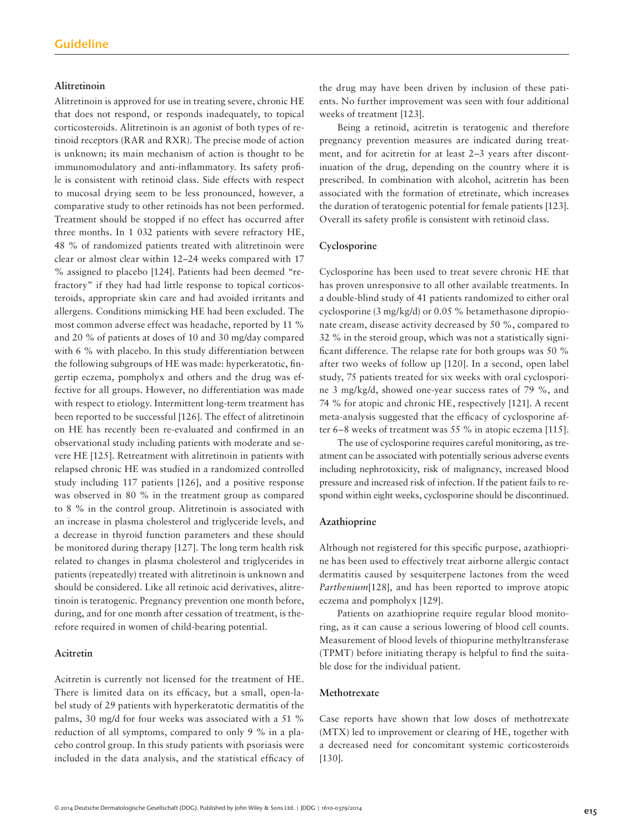#### **Alitretinoin**

Alitretinoin is approved for use in treating severe, chronic HE that does not respond, or responds inadequately, to topical corticosteroids. Alitretinoin is an agonist of both types of retinoid receptors (RAR and RXR). The precise mode of action is unknown; its main mechanism of action is thought to be immunomodulatory and anti-inflammatory. Its safety profile is consistent with retinoid class. Side effects with respect to mucosal drying seem to be less pronounced, however, a comparative study to other retinoids has not been performed. Treatment should be stopped if no effect has occurred after three months. In 1 032 patients with severe refractory HE, 48 % of randomized patients treated with alitretinoin were clear or almost clear within 12–24 weeks compared with 17 % assigned to placebo [124]. Patients had been deemed "refractory" if they had had little response to topical corticosteroids, appropriate skin care and had avoided irritants and allergens. Conditions mimicking HE had been excluded. The most common adverse effect was headache, reported by 11 % and 20 % of patients at doses of 10 and 30 mg/day compared with 6 % with placebo. In this study differentiation between the following subgroups of HE was made: hyperkeratotic, fingertip eczema, pompholyx and others and the drug was effective for all groups. However, no differentiation was made with respect to etiology. Intermittent long-term treatment has been reported to be successful [126]. The effect of alitretinoin on HE has recently been re-evaluated and confirmed in an observational study including patients with moderate and severe HE [125]. Retreatment with alitretinoin in patients with relapsed chronic HE was studied in a randomized controlled study including 117 patients [126], and a positive response was observed in 80 % in the treatment group as compared to 8 % in the control group. Alitretinoin is associated with an increase in plasma cholesterol and triglyceride levels, and a decrease in thyroid function parameters and these should be monitored during therapy [127]. The long term health risk related to changes in plasma cholesterol and triglycerides in patients (repeatedly) treated with alitretinoin is unknown and should be considered. Like all retinoic acid derivatives, alitretinoin is teratogenic. Pregnancy prevention one month before, during, and for one month after cessation of treatment, is therefore required in women of child-bearing potential.

### **Acitretin**

Acitretin is currently not licensed for the treatment of HE. There is limited data on its efficacy, but a small, open-label study of 29 patients with hyperkeratotic dermatitis of the palms, 30 mg/d for four weeks was associated with a 51 % reduction of all symptoms, compared to only 9 % in a placebo control group. In this study patients with psoriasis were included in the data analysis, and the statistical efficacy of the drug may have been driven by inclusion of these patients. No further improvement was seen with four additional weeks of treatment [123].

Being a retinoid, acitretin is teratogenic and therefore pregnancy prevention measures are indicated during treatment, and for acitretin for at least 2–3 years after discontinuation of the drug, depending on the country where it is prescribed. In combination with alcohol, acitretin has been associated with the formation of etretinate, which increases the duration of teratogenic potential for female patients [123]. Overall its safety profile is consistent with retinoid class.

#### **Cyclosporine**

Cyclosporine has been used to treat severe chronic HE that has proven unresponsive to all other available treatments. In a double-blind study of 41 patients randomized to either oral cyclosporine (3 mg/kg/d) or 0.05 % betamethasone dipropionate cream, disease activity decreased by 50 %, compared to 32 % in the steroid group, which was not a statistically significant difference. The relapse rate for both groups was 50 % after two weeks of follow up [120]. In a second, open label study, 75 patients treated for six weeks with oral cyclosporine 3 mg/kg/d, showed one-year success rates of 79 %, and 74 % for atopic and chronic HE, respectively [121]. A recent meta-analysis suggested that the efficacy of cyclosporine after 6–8 weeks of treatment was 55 % in atopic eczema [115].

The use of cyclosporine requires careful monitoring, as treatment can be associated with potentially serious adverse events including nephrotoxicity, risk of malignancy, increased blood pressure and increased risk of infection. If the patient fails to respond within eight weeks, cyclosporine should be discontinued.

#### **Azathioprine**

Although not registered for this specific purpose, azathioprine has been used to effectively treat airborne allergic contact dermatitis caused by sesquiterpene lactones from the weed *Parthenium*[128], and has been reported to improve atopic eczema and pompholyx [129].

Patients on azathioprine require regular blood monitoring, as it can cause a serious lowering of blood cell counts. Measurement of blood levels of thiopurine methyltransferase (TPMT) before initiating therapy is helpful to find the suitable dose for the individual patient.

#### **Methotrexate**

Case reports have shown that low doses of methotrexate (MTX) led to improvement or clearing of HE, together with a decreased need for concomitant systemic corticosteroids [130].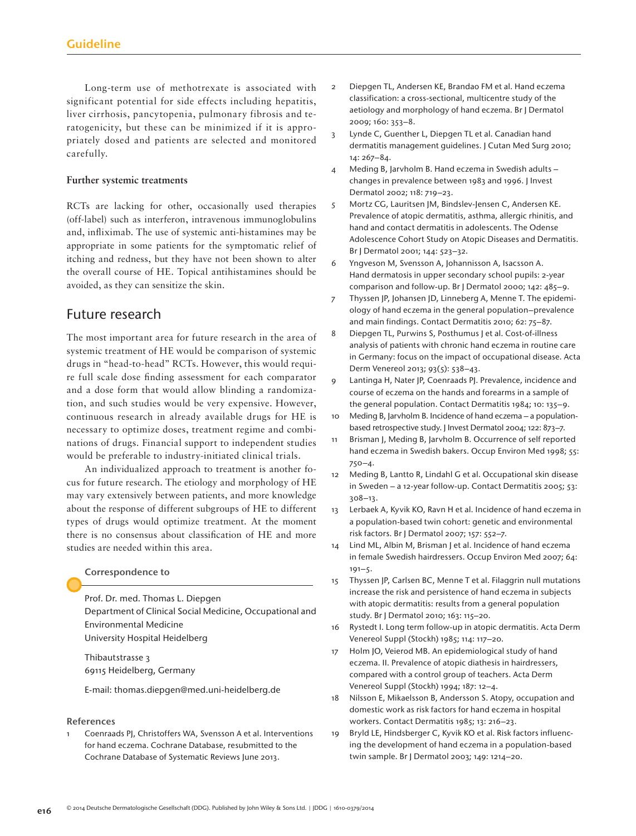Long-term use of methotrexate is associated with significant potential for side effects including hepatitis, liver cirrhosis, pancytopenia, pulmonary fibrosis and teratogenicity, but these can be minimized if it is appropriately dosed and patients are selected and monitored carefully.

#### **Further systemic treatments**

RCTs are lacking for other, occasionally used therapies (off-label) such as interferon, intravenous immunoglobulins and, infliximab. The use of systemic anti-histamines may be appropriate in some patients for the symptomatic relief of itching and redness, but they have not been shown to alter the overall course of HE. Topical antihistamines should be avoided, as they can sensitize the skin.

# Future research

The most important area for future research in the area of systemic treatment of HE would be comparison of systemic drugs in "head-to-head" RCTs. However, this would require full scale dose finding assessment for each comparator and a dose form that would allow blinding a randomization, and such studies would be very expensive. However, continuous research in already available drugs for HE is necessary to optimize doses, treatment regime and combinations of drugs. Financial support to independent studies would be preferable to industry-initiated clinical trials.

An individualized approach to treatment is another focus for future research. The etiology and morphology of HE may vary extensively between patients, and more knowledge about the response of different subgroups of HE to different types of drugs would optimize treatment. At the moment there is no consensus about classification of HE and more studies are needed within this area.

#### Correspondence to

Prof. Dr. med. Thomas L. Diepgen Department of Clinical Social Medicine, Occupational and Environmental Medicine University Hospital Heidelberg

Thibautstrasse 3 69115 Heidelberg, Germany

E-mail: thomas.diepgen@med.uni-heidelberg.de

#### References

Coenraads PJ, Christoffers WA, Svensson A et al. Interventions for hand eczema. Cochrane Database, resubmitted to the Cochrane Database of Systematic Reviews June 2013.

- 2 Diepgen TL, Andersen KE, Brandao FM et al. Hand eczema classification: a cross-sectional, multicentre study of the aetiology and morphology of hand eczema. Br J Dermatol 2009; 160: 353–8.
- 3 Lynde C, Guenther L, Diepgen TL et al. Canadian hand dermatitis management guidelines. J Cutan Med Surg 2010; 14: 267–84.
- 4 Meding B, Jarvholm B. Hand eczema in Swedish adults changes in prevalence between 1983 and 1996. J Invest Dermatol 2002; 118: 719–23.
- 5 Mortz CG, Lauritsen JM, Bindslev-Jensen C, Andersen KE. Prevalence of atopic dermatitis, asthma, allergic rhinitis, and hand and contact dermatitis in adolescents. The Odense Adolescence Cohort Study on Atopic Diseases and Dermatitis. Br J Dermatol 2001; 144: 523–32.
- 6 Yngveson M, Svensson A, Johannisson A, Isacsson A. Hand dermatosis in upper secondary school pupils: 2-year comparison and follow-up. Br J Dermatol 2000; 142: 485–9.
- 7 Thyssen JP, Johansen JD, Linneberg A, Menne T. The epidemiology of hand eczema in the general population–prevalence and main findings. Contact Dermatitis 2010; 62: 75–87.
- 8 Diepgen TL, Purwins S, Posthumus | et al. Cost-of-illness analysis of patients with chronic hand eczema in routine care in Germany: focus on the impact of occupational disease. Acta Derm Venereol 2013; 93(5): 538–43.
- 9 Lantinga H, Nater JP, Coenraads PJ. Prevalence, incidence and course of eczema on the hands and forearms in a sample of the general population. Contact Dermatitis 1984; 10: 135–9.
- 10 Meding B, Jarvholm B. Incidence of hand eczema a populationbased retrospective study. J Invest Dermatol 2004; 122: 873–7.
- 11 Brisman J, Meding B, Jarvholm B. Occurrence of self reported hand eczema in Swedish bakers. Occup Environ Med 1998; 55: 750–4.
- 12 Meding B, Lantto R, Lindahl G et al. Occupational skin disease in Sweden – a 12-year follow-up. Contact Dermatitis 2005; 53: 308–13.
- 13 Lerbaek A, Kyvik KO, Ravn H et al. Incidence of hand eczema in a population-based twin cohort: genetic and environmental risk factors. Br J Dermatol 2007; 157: 552–7.
- 14 Lind ML, Albin M, Brisman J et al. Incidence of hand eczema in female Swedish hairdressers. Occup Environ Med 2007; 64:  $191 - 5.$
- 15 Thyssen JP, Carlsen BC, Menne T et al. Filaggrin null mutations increase the risk and persistence of hand eczema in subjects with atopic dermatitis: results from a general population study. Br J Dermatol 2010; 163: 115–20.
- 16 Rystedt I. Long term follow-up in atopic dermatitis. Acta Derm Venereol Suppl (Stockh) 1985; 114: 117–20.
- 17 Holm JO, Veierod MB. An epidemiological study of hand eczema. II. Prevalence of atopic diathesis in hairdressers, compared with a control group of teachers. Acta Derm Venereol Suppl (Stockh) 1994; 187: 12–4.
- 18 Nilsson E, Mikaelsson B, Andersson S. Atopy, occupation and domestic work as risk factors for hand eczema in hospital workers. Contact Dermatitis 1985; 13: 216–23.
- 19 Bryld LE, Hindsberger C, Kyvik KO et al. Risk factors influencing the development of hand eczema in a population-based twin sample. Br J Dermatol 2003; 149: 1214–20.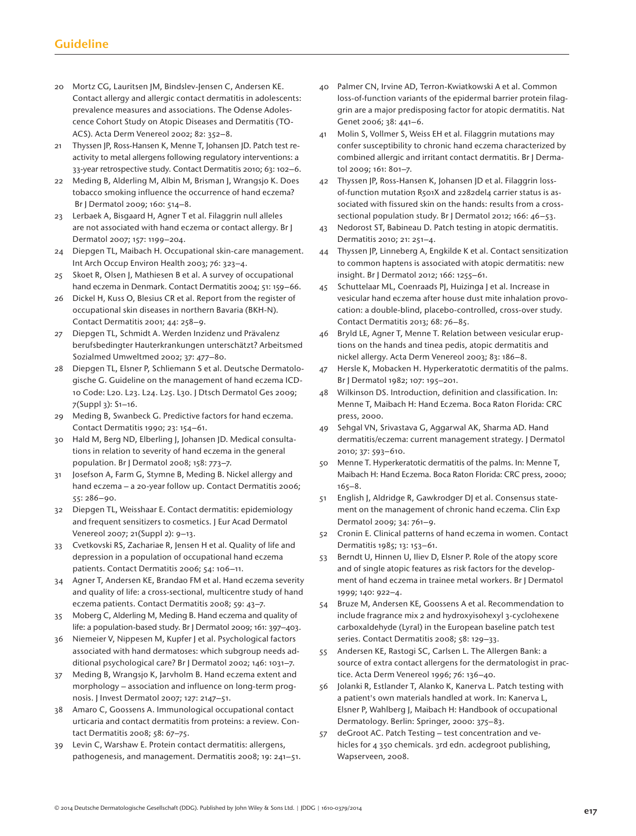- 20 Mortz CG, Lauritsen JM, Bindslev-Jensen C, Andersen KE. Contact allergy and allergic contact dermatitis in adolescents: prevalence measures and associations. The Odense Adolescence Cohort Study on Atopic Diseases and Dermatitis (TO-ACS). Acta Derm Venereol 2002; 82: 352–8.
- 21 Thyssen JP, Ross-Hansen K, Menne T, Johansen JD. Patch test reactivity to metal allergens following regulatory interventions: a 33-year retrospective study. Contact Dermatitis 2010; 63: 102–6.
- 22 Meding B, Alderling M, Albin M, Brisman J, Wrangsjo K. Does tobacco smoking influence the occurrence of hand eczema? Br J Dermatol 2009; 160: 514–8.
- 23 Lerbaek A, Bisgaard H, Agner T et al. Filaggrin null alleles are not associated with hand eczema or contact allergy. Br J Dermatol 2007; 157: 1199–204.
- 24 Diepgen TL, Maibach H. Occupational skin-care management. Int Arch Occup Environ Health 2003; 76: 323–4.
- 25 Skoet R, Olsen J, Mathiesen B et al. A survey of occupational hand eczema in Denmark. Contact Dermatitis 2004; 51: 159–66.
- 26 Dickel H, Kuss O, Blesius CR et al. Report from the register of occupational skin diseases in northern Bavaria (BKH-N). Contact Dermatitis 2001; 44: 258–9.
- 27 Diepgen TL, Schmidt A. Werden Inzidenz und Prävalenz berufsbedingter Hauterkrankungen unterschätzt? Arbeitsmed Sozialmed Umweltmed 2002; 37: 477–80.
- 28 Diepgen TL, Elsner P, Schliemann S et al. Deutsche Dermatologische G. Guideline on the management of hand eczema ICD-10 Code: L20. L23. L24. L25. L30. J Dtsch Dermatol Ges 2009; 7(Suppl 3): S1–16.
- 29 Meding B, Swanbeck G. Predictive factors for hand eczema. Contact Dermatitis 1990; 23: 154–61.
- 30 Hald M, Berg ND, Elberling J, Johansen JD. Medical consultations in relation to severity of hand eczema in the general population. Br J Dermatol 2008; 158: 773–7.
- 31 Josefson A, Farm G, Stymne B, Meding B. Nickel allergy and hand eczema – a 20-year follow up. Contact Dermatitis 2006; 55: 286–90.
- 32 Diepgen TL, Weisshaar E. Contact dermatitis: epidemiology and frequent sensitizers to cosmetics. J Eur Acad Dermatol Venereol 2007; 21(Suppl 2): 9–13.
- 33 Cvetkovski RS, Zachariae R, Jensen H et al. Quality of life and depression in a population of occupational hand eczema patients. Contact Dermatitis 2006; 54: 106–11.
- 34 Agner T, Andersen KE, Brandao FM et al. Hand eczema severity and quality of life: a cross-sectional, multicentre study of hand eczema patients. Contact Dermatitis 2008; 59: 43–7.
- 35 Moberg C, Alderling M, Meding B. Hand eczema and quality of life: a population-based study. Br J Dermatol 2009; 161: 397–403.
- 36 Niemeier V, Nippesen M, Kupfer J et al. Psychological factors associated with hand dermatoses: which subgroup needs additional psychological care? Br J Dermatol 2002; 146: 1031–7.
- 37 Meding B, Wrangsjo K, Jarvholm B. Hand eczema extent and morphology – association and influence on long-term prognosis. J Invest Dermatol 2007; 127: 2147–51.
- 38 Amaro C, Goossens A. Immunological occupational contact urticaria and contact dermatitis from proteins: a review. Contact Dermatitis 2008; 58: 67–75.
- 39 Levin C, Warshaw E. Protein contact dermatitis: allergens, pathogenesis, and management. Dermatitis 2008; 19: 241–51.
- 40 Palmer CN, Irvine AD, Terron-Kwiatkowski A et al. Common loss-of-function variants of the epidermal barrier protein filaggrin are a major predisposing factor for atopic dermatitis. Nat Genet 2006; 38: 441–6.
- 41 Molin S, Vollmer S, Weiss EH et al. Filaggrin mutations may confer susceptibility to chronic hand eczema characterized by combined allergic and irritant contact dermatitis. Br J Dermatol 2009; 161: 801–7.
- 42 Thyssen JP, Ross-Hansen K, Johansen JD et al. Filaggrin lossof-function mutation R501X and 2282del4 carrier status is associated with fissured skin on the hands: results from a crosssectional population study. Br J Dermatol 2012; 166: 46–53.
- 43 Nedorost ST, Babineau D. Patch testing in atopic dermatitis. Dermatitis 2010; 21: 251–4.
- 44 Thyssen JP, Linneberg A, Engkilde K et al. Contact sensitization to common haptens is associated with atopic dermatitis: new insight. Br J Dermatol 2012; 166: 1255–61.
- 45 Schuttelaar ML, Coenraads PJ, Huizinga J et al. Increase in vesicular hand eczema after house dust mite inhalation provocation: a double-blind, placebo-controlled, cross-over study. Contact Dermatitis 2013; 68: 76–85.
- 46 Bryld LE, Agner T, Menne T. Relation between vesicular eruptions on the hands and tinea pedis, atopic dermatitis and nickel allergy. Acta Derm Venereol 2003; 83: 186–8.
- 47 Hersle K, Mobacken H. Hyperkeratotic dermatitis of the palms. Br J Dermatol 1982; 107: 195–201.
- 48 Wilkinson DS. Introduction, definition and classification. In: Menne T, Maibach H: Hand Eczema. Boca Raton Florida: CRC press, 2000.
- 49 Sehgal VN, Srivastava G, Aggarwal AK, Sharma AD. Hand dermatitis/eczema: current management strategy. J Dermatol 2010; 37: 593–610.
- 50 Menne T. Hyperkeratotic dermatitis of the palms. In: Menne T, Maibach H: Hand Eczema. Boca Raton Florida: CRC press, 2000;  $165 - 8.$
- 51 English J, Aldridge R, Gawkrodger DJ et al. Consensus statement on the management of chronic hand eczema. Clin Exp Dermatol 2009; 34: 761–9.
- 52 Cronin E. Clinical patterns of hand eczema in women. Contact Dermatitis 1985; 13: 153–61.
- 53 Berndt U, Hinnen U, Iliev D, Elsner P. Role of the atopy score and of single atopic features as risk factors for the development of hand eczema in trainee metal workers. Br J Dermatol 1999; 140: 922–4.
- 54 Bruze M, Andersen KE, Goossens A et al. Recommendation to include fragrance mix 2 and hydroxyisohexyl 3-cyclohexene carboxaldehyde (Lyral) in the European baseline patch test series. Contact Dermatitis 2008; 58: 129–33.
- 55 Andersen KE, Rastogi SC, Carlsen L. The Allergen Bank: a source of extra contact allergens for the dermatologist in practice. Acta Derm Venereol 1996; 76: 136–40.
- 56 Jolanki R, Estlander T, Alanko K, Kanerva L. Patch testing with a patient's own materials handled at work. In: Kanerva L, Elsner P, Wahlberg J, Maibach H: Handbook of occupational Dermatology. Berlin: Springer, 2000: 375–83.
- 57 deGroot AC. Patch Testing test concentration and vehicles for 4 350 chemicals. 3rd edn. acdegroot publishing, Wapserveen, 2008.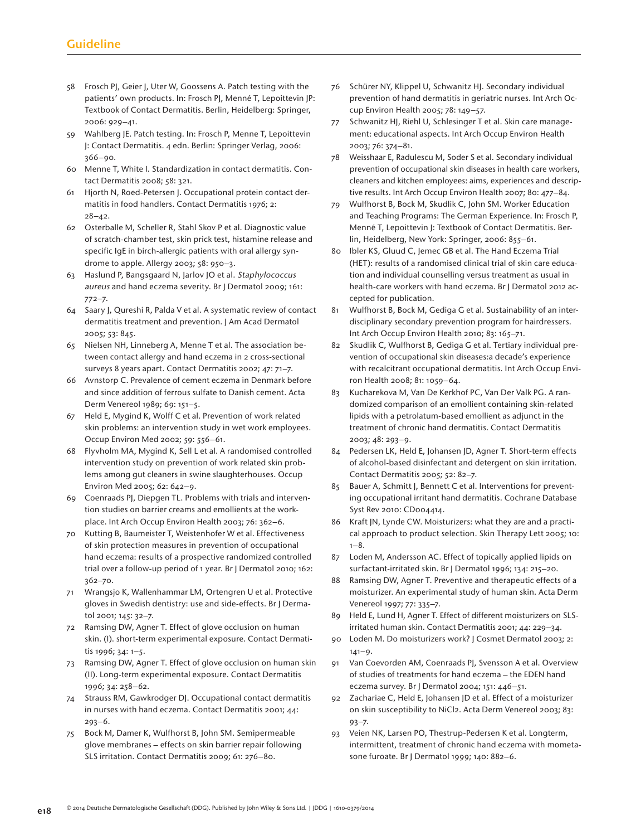- 58 Frosch PJ, Geier J, Uter W, Goossens A. Patch testing with the patients' own products. In: Frosch PJ, Menné T, Lepoittevin JP: Textbook of Contact Dermatitis. Berlin, Heidelberg: Springer, 2006: 929–41.
- 59 Wahlberg JE. Patch testing. In: Frosch P, Menne T, Lepoittevin J: Contact Dermatitis. 4 edn. Berlin: Springer Verlag, 2006: 366–90.
- 60 Menne T, White I. Standardization in contact dermatitis. Contact Dermatitis 2008; 58: 321.
- 61 Hjorth N, Roed-Petersen J. Occupational protein contact dermatitis in food handlers. Contact Dermatitis 1976; 2:  $28 - 42$ .
- 62 Osterballe M, Scheller R, Stahl Skov P et al. Diagnostic value of scratch-chamber test, skin prick test, histamine release and specific IgE in birch-allergic patients with oral allergy syndrome to apple. Allergy 2003; 58: 950–3.
- 63 Haslund P, Bangsgaard N, Jarlov JO et al. Staphylococcus aureus and hand eczema severity. Br J Dermatol 2009; 161: 772–7.
- 64 Saary J, Qureshi R, Palda V et al. A systematic review of contact dermatitis treatment and prevention. J Am Acad Dermatol 2005; 53: 845.
- 65 Nielsen NH, Linneberg A, Menne T et al. The association between contact allergy and hand eczema in 2 cross-sectional surveys 8 years apart. Contact Dermatitis 2002; 47: 71–7.
- 66 Avnstorp C. Prevalence of cement eczema in Denmark before and since addition of ferrous sulfate to Danish cement. Acta Derm Venereol 1989; 69: 151–5.
- 67 Held E, Mygind K, Wolff C et al. Prevention of work related skin problems: an intervention study in wet work employees. Occup Environ Med 2002; 59: 556–61.
- 68 Flyvholm MA, Mygind K, Sell L et al. A randomised controlled intervention study on prevention of work related skin problems among gut cleaners in swine slaughterhouses. Occup Environ Med 2005; 62: 642–9.
- 69 Coenraads PJ, Diepgen TL. Problems with trials and intervention studies on barrier creams and emollients at the workplace. Int Arch Occup Environ Health 2003; 76: 362–6.
- 70 Kutting B, Baumeister T, Weistenhofer W et al. Effectiveness of skin protection measures in prevention of occupational hand eczema: results of a prospective randomized controlled trial over a follow-up period of 1 year. Br J Dermatol 2010; 162: 362–70.
- 71 Wrangsjo K, Wallenhammar LM, Ortengren U et al. Protective gloves in Swedish dentistry: use and side-effects. Br J Dermatol 2001; 145: 32–7.
- 72 Ramsing DW, Agner T. Effect of glove occlusion on human skin. (I). short-term experimental exposure. Contact Dermatitis 1996; 34: 1–5.
- 73 Ramsing DW, Agner T. Effect of glove occlusion on human skin (II). Long-term experimental exposure. Contact Dermatitis 1996; 34: 258–62.
- 74 Strauss RM, Gawkrodger DJ. Occupational contact dermatitis in nurses with hand eczema. Contact Dermatitis 2001; 44: 293–6.
- 75 Bock M, Damer K, Wulfhorst B, John SM. Semipermeable glove membranes – effects on skin barrier repair following SLS irritation. Contact Dermatitis 2009; 61: 276–80.
- 76 Schürer NY, Klippel U, Schwanitz HJ. Secondary individual prevention of hand dermatitis in geriatric nurses. Int Arch Occup Environ Health 2005; 78: 149–57.
- 77 Schwanitz HJ, Riehl U, Schlesinger T et al. Skin care management: educational aspects. Int Arch Occup Environ Health 2003; 76: 374–81.
- 78 Weisshaar E, Radulescu M, Soder S et al. Secondary individual prevention of occupational skin diseases in health care workers, cleaners and kitchen employees: aims, experiences and descriptive results. Int Arch Occup Environ Health 2007; 80: 477–84.
- 79 Wulfhorst B, Bock M, Skudlik C, John SM. Worker Education and Teaching Programs: The German Experience. In: Frosch P, Menné T, Lepoittevin J: Textbook of Contact Dermatitis. Berlin, Heidelberg, New York: Springer, 2006: 855–61.
- 80 Ibler KS, Gluud C, Jemec GB et al. The Hand Eczema Trial (HET): results of a randomised clinical trial of skin care education and individual counselling versus treatment as usual in health-care workers with hand eczema. Br J Dermatol 2012 accepted for publication.
- 81 Wulfhorst B, Bock M, Gediga G et al. Sustainability of an interdisciplinary secondary prevention program for hairdressers. Int Arch Occup Environ Health 2010; 83: 165–71.
- 82 Skudlik C, Wulfhorst B, Gediga G et al. Tertiary individual prevention of occupational skin diseases:a decade's experience with recalcitrant occupational dermatitis. Int Arch Occup Environ Health 2008; 81: 1059–64.
- 83 Kucharekova M, Van De Kerkhof PC, Van Der Valk PG. A randomized comparison of an emollient containing skin-related lipids with a petrolatum-based emollient as adjunct in the treatment of chronic hand dermatitis. Contact Dermatitis 2003; 48: 293–9.
- 84 Pedersen LK, Held E, Johansen JD, Agner T. Short-term effects of alcohol-based disinfectant and detergent on skin irritation. Contact Dermatitis 2005; 52: 82–7.
- 85 Bauer A, Schmitt J, Bennett C et al. Interventions for preventing occupational irritant hand dermatitis. Cochrane Database Syst Rev 2010: CD004414.
- 86 Kraft JN, Lynde CW. Moisturizers: what they are and a practical approach to product selection. Skin Therapy Lett 2005; 10: 1–8.
- 87 Loden M, Andersson AC. Effect of topically applied lipids on surfactant-irritated skin. Br J Dermatol 1996; 134: 215–20.
- 88 Ramsing DW, Agner T. Preventive and therapeutic effects of a moisturizer. An experimental study of human skin. Acta Derm Venereol 1997; 77: 335–7.
- 89 Held E, Lund H, Agner T. Effect of different moisturizers on SLSirritated human skin. Contact Dermatitis 2001; 44: 229–34.
- 90 Loden M. Do moisturizers work? J Cosmet Dermatol 2003; 2:  $141 - 9.$
- 91 Van Coevorden AM, Coenraads PJ, Svensson A et al. Overview of studies of treatments for hand eczema – the EDEN hand eczema survey. Br J Dermatol 2004; 151: 446–51.
- 92 Zachariae C, Held E, Johansen JD et al. Effect of a moisturizer on skin susceptibility to NiCl2. Acta Derm Venereol 2003; 83:  $93 - 7.$
- 93 Veien NK, Larsen PO, Thestrup-Pedersen K et al. Longterm, intermittent, treatment of chronic hand eczema with mometasone furoate. Br J Dermatol 1999; 140: 882–6.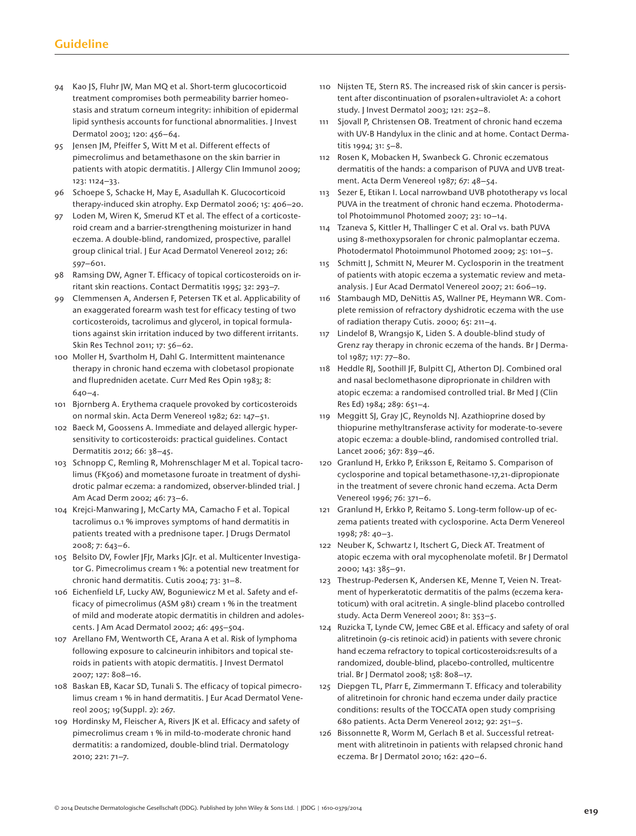- 94 Kao JS, Fluhr JW, Man MQ et al. Short-term glucocorticoid treatment compromises both permeability barrier homeostasis and stratum corneum integrity: inhibition of epidermal lipid synthesis accounts for functional abnormalities. J Invest Dermatol 2003; 120: 456–64.
- 95 Jensen JM, Pfeiffer S, Witt M et al. Different effects of pimecrolimus and betamethasone on the skin barrier in patients with atopic dermatitis. J Allergy Clin Immunol 2009; 123: 1124–33.
- 96 Schoepe S, Schacke H, May E, Asadullah K. Glucocorticoid therapy-induced skin atrophy. Exp Dermatol 2006; 15: 406–20.
- 97 Loden M, Wiren K, Smerud KT et al. The effect of a corticosteroid cream and a barrier-strengthening moisturizer in hand eczema. A double-blind, randomized, prospective, parallel group clinical trial. J Eur Acad Dermatol Venereol 2012; 26: 597–601.
- 98 Ramsing DW, Agner T. Efficacy of topical corticosteroids on irritant skin reactions. Contact Dermatitis 1995; 32: 293–7.
- 99 Clemmensen A, Andersen F, Petersen TK et al. Applicability of an exaggerated forearm wash test for efficacy testing of two corticosteroids, tacrolimus and glycerol, in topical formulations against skin irritation induced by two different irritants. Skin Res Technol 2011; 17: 56–62.
- 100 Moller H, Svartholm H, Dahl G. Intermittent maintenance therapy in chronic hand eczema with clobetasol propionate and flupredniden acetate. Curr Med Res Opin 1983; 8: 640–4.
- 101 Bjornberg A. Erythema craquele provoked by corticosteroids on normal skin. Acta Derm Venereol 1982; 62: 147–51.
- 102 Baeck M, Goossens A. Immediate and delayed allergic hypersensitivity to corticosteroids: practical guidelines. Contact Dermatitis 2012; 66: 38–45.
- 103 Schnopp C, Remling R, Mohrenschlager M et al. Topical tacrolimus (FK506) and mometasone furoate in treatment of dyshidrotic palmar eczema: a randomized, observer-blinded trial. J Am Acad Derm 2002; 46: 73–6.
- 104 Krejci-Manwaring J, McCarty MA, Camacho F et al. Topical tacrolimus 0.1 % improves symptoms of hand dermatitis in patients treated with a prednisone taper. J Drugs Dermatol 2008; 7: 643–6.
- 105 Belsito DV, Fowler JFJr, Marks JGJr. et al. Multicenter Investigator G. Pimecrolimus cream 1 %: a potential new treatment for chronic hand dermatitis. Cutis 2004; 73: 31–8.
- 106 Eichenfield LF, Lucky AW, Boguniewicz M et al. Safety and efficacy of pimecrolimus (ASM 981) cream 1 % in the treatment of mild and moderate atopic dermatitis in children and adolescents. J Am Acad Dermatol 2002; 46: 495–504.
- 107 Arellano FM, Wentworth CE, Arana A et al. Risk of lymphoma following exposure to calcineurin inhibitors and topical steroids in patients with atopic dermatitis. J Invest Dermatol 2007; 127: 808–16.
- 108 Baskan EB, Kacar SD, Tunali S. The efficacy of topical pimecrolimus cream 1 % in hand dermatitis. J Eur Acad Dermatol Venereol 2005; 19(Suppl. 2): 267.
- 109 Hordinsky M, Fleischer A, Rivers JK et al. Efficacy and safety of pimecrolimus cream 1 % in mild-to-moderate chronic hand dermatitis: a randomized, double-blind trial. Dermatology 2010; 221: 71–7.
- 110 Nijsten TE, Stern RS. The increased risk of skin cancer is persistent after discontinuation of psoralen+ultraviolet A: a cohort study. J Invest Dermatol 2003; 121: 252–8.
- 111 Sjovall P, Christensen OB. Treatment of chronic hand eczema with UV-B Handylux in the clinic and at home. Contact Dermatitis 1994; 31: 5–8.
- 112 Rosen K, Mobacken H, Swanbeck G. Chronic eczematous dermatitis of the hands: a comparison of PUVA and UVB treatment. Acta Derm Venereol 1987; 67: 48–54.
- 113 Sezer E, Etikan I. Local narrowband UVB phototherapy vs local PUVA in the treatment of chronic hand eczema. Photodermatol Photoimmunol Photomed 2007; 23: 10–14.
- 114 Tzaneva S, Kittler H, Thallinger C et al. Oral vs. bath PUVA using 8-methoxypsoralen for chronic palmoplantar eczema. Photodermatol Photoimmunol Photomed 2009; 25: 101–5.
- 115 Schmitt J, Schmitt N, Meurer M. Cyclosporin in the treatment of patients with atopic eczema a systematic review and metaanalysis. J Eur Acad Dermatol Venereol 2007; 21: 606–19.
- 116 Stambaugh MD, DeNittis AS, Wallner PE, Heymann WR. Complete remission of refractory dyshidrotic eczema with the use of radiation therapy Cutis. 2000; 65: 211–4.
- 117 Lindelof B, Wrangsjo K, Liden S. A double-blind study of Grenz ray therapy in chronic eczema of the hands. Br J Dermatol 1987; 117: 77–80.
- 118 Heddle RJ, Soothill JF, Bulpitt CJ, Atherton DJ. Combined oral and nasal beclomethasone diproprionate in children with atopic eczema: a randomised controlled trial. Br Med J (Clin Res Ed) 1984; 289: 651–4.
- 119 Meggitt SJ, Gray JC, Reynolds NJ. Azathioprine dosed by thiopurine methyltransferase activity for moderate-to-severe atopic eczema: a double-blind, randomised controlled trial. Lancet 2006; 367: 839–46.
- 120 Granlund H, Erkko P, Eriksson E, Reitamo S. Comparison of cyclosporine and topical betamethasone-17,21-dipropionate in the treatment of severe chronic hand eczema. Acta Derm Venereol 1996; 76: 371–6.
- 121 Granlund H, Erkko P, Reitamo S. Long-term follow-up of eczema patients treated with cyclosporine. Acta Derm Venereol 1998; 78: 40–3.
- 122 Neuber K, Schwartz I, Itschert G, Dieck AT. Treatment of atopic eczema with oral mycophenolate mofetil. Br J Dermatol 2000; 143: 385–91.
- 123 Thestrup-Pedersen K, Andersen KE, Menne T, Veien N. Treatment of hyperkeratotic dermatitis of the palms (eczema keratoticum) with oral acitretin. A single-blind placebo controlled study. Acta Derm Venereol 2001; 81: 353–5.
- 124 Ruzicka T, Lynde CW, Jemec GBE et al. Efficacy and safety of oral alitretinoin (9-cis retinoic acid) in patients with severe chronic hand eczema refractory to topical corticosteroids:results of a randomized, double-blind, placebo-controlled, multicentre trial. Br J Dermatol 2008; 158: 808–17.
- 125 Diepgen TL, Pfarr E, Zimmermann T. Efficacy and tolerability of alitretinoin for chronic hand eczema under daily practice conditions: results of the TOCCATA open study comprising 680 patients. Acta Derm Venereol 2012; 92: 251–5.
- 126 Bissonnette R, Worm M, Gerlach B et al. Successful retreatment with alitretinoin in patients with relapsed chronic hand eczema. Br J Dermatol 2010; 162: 420–6.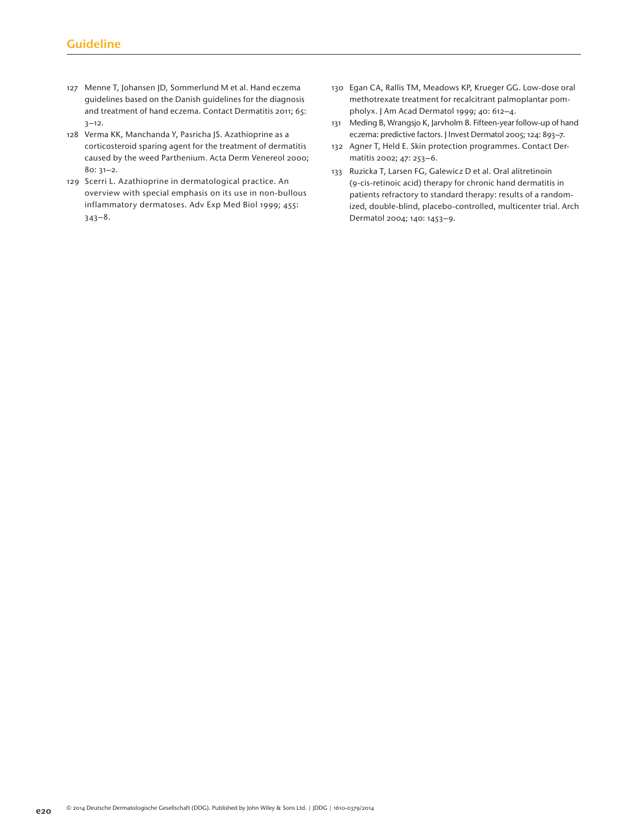- 127 Menne T, Johansen JD, Sommerlund M et al. Hand eczema guidelines based on the Danish guidelines for the diagnosis and treatment of hand eczema. Contact Dermatitis 2011; 65:  $3 - 12$ .
- 128 Verma KK, Manchanda Y, Pasricha JS. Azathioprine as a corticosteroid sparing agent for the treatment of dermatitis caused by the weed Parthenium. Acta Derm Venereol 2000; 80: 31–2.
- 129 Scerri L. Azathioprine in dermatological practice. An overview with special emphasis on its use in non-bullous inflammatory dermatoses. Adv Exp Med Biol 1999; 455: 343–8.
- 130 Egan CA, Rallis TM, Meadows KP, Krueger GG. Low-dose oral methotrexate treatment for recalcitrant palmoplantar pompholyx. J Am Acad Dermatol 1999; 40: 612–4.
- 131 Meding B, Wrangsjo K, Jarvholm B. Fifteen-year follow-up of hand eczema: predictive factors. J Invest Dermatol 2005; 124: 893–7.
- 132 Agner T, Held E. Skin protection programmes. Contact Dermatitis 2002; 47: 253–6.
- 133 Ruzicka T, Larsen FG, Galewicz D et al. Oral alitretinoin (9-cis-retinoic acid) therapy for chronic hand dermatitis in patients refractory to standard therapy: results of a randomized, double-blind, placebo-controlled, multicenter trial. Arch Dermatol 2004; 140: 1453–9.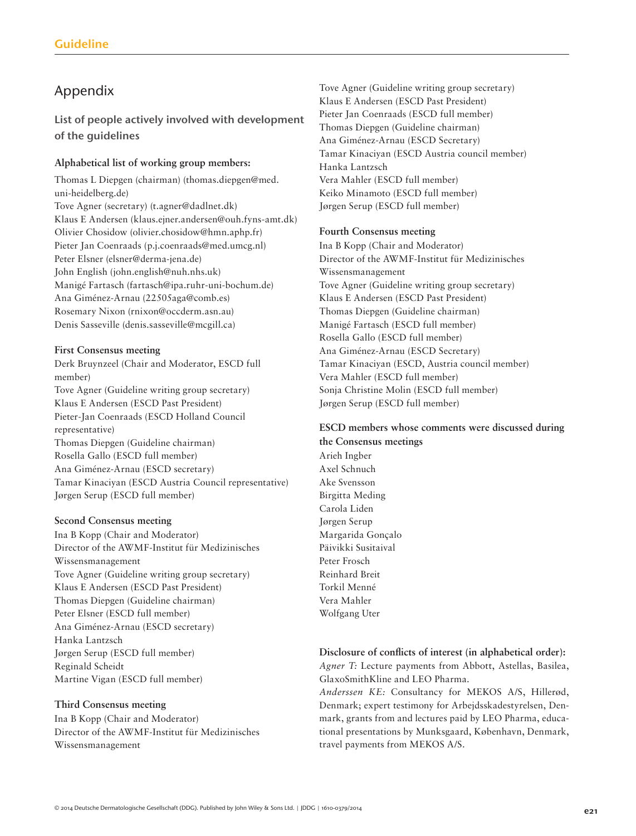# Appendix

List of people actively involved with development of the guidelines

#### **Alphabetical list of working group members:**

Thomas L Diepgen (chairman) (thomas.diepgen@med. uni-heidelberg.de) Tove Agner (secretary) (t.agner@dadlnet.dk) Klaus E Andersen (klaus.ejner.andersen@ouh.fyns-amt.dk) Olivier Chosidow (olivier.chosidow@hmn.aphp.fr) Pieter Jan Coenraads (p.j.coenraads@med.umcg.nl) Peter Elsner (elsner@derma-jena.de) John English (john.english@nuh.nhs.uk) Manigé Fartasch (fartasch@ipa.ruhr-uni-bochum.de) Ana Giménez-Arnau (22505aga@comb.es) Rosemary Nixon (rnixon@occderm.asn.au) Denis Sasseville (denis.sasseville@mcgill.ca)

#### **First Consensus meeting**

Derk Bruynzeel (Chair and Moderator, ESCD full member) Tove Agner (Guideline writing group secretary) Klaus E Andersen (ESCD Past President) Pieter-Jan Coenraads (ESCD Holland Council representative) Thomas Diepgen (Guideline chairman) Rosella Gallo (ESCD full member) Ana Giménez-Arnau (ESCD secretary) Tamar Kinaciyan (ESCD Austria Council representative) Jørgen Serup (ESCD full member)

#### **Second Consensus meeting**

Ina B Kopp (Chair and Moderator) Director of the AWMF-Institut für Medizinisches Wissensmanagement Tove Agner (Guideline writing group secretary) Klaus E Andersen (ESCD Past President) Thomas Diepgen (Guideline chairman) Peter Elsner (ESCD full member) Ana Giménez-Arnau (ESCD secretary) Hanka Lantzsch Jørgen Serup (ESCD full member) Reginald Scheidt Martine Vigan (ESCD full member)

#### **Third Consensus meeting**

Ina B Kopp (Chair and Moderator) Director of the AWMF-Institut für Medizinisches Wissensmanagement

Tove Agner (Guideline writing group secretary) Klaus E Andersen (ESCD Past President) Pieter Jan Coenraads (ESCD full member) Thomas Diepgen (Guideline chairman) Ana Giménez-Arnau (ESCD Secretary) Tamar Kinaciyan (ESCD Austria council member) Hanka Lantzsch Vera Mahler (ESCD full member) Keiko Minamoto (ESCD full member) Jørgen Serup (ESCD full member)

#### **Fourth Consensus meeting**

Ina B Kopp (Chair and Moderator) Director of the AWMF-Institut für Medizinisches Wissensmanagement Tove Agner (Guideline writing group secretary) Klaus E Andersen (ESCD Past President) Thomas Diepgen (Guideline chairman) Manigé Fartasch (ESCD full member) Rosella Gallo (ESCD full member) Ana Giménez-Arnau (ESCD Secretary) Tamar Kinaciyan (ESCD, Austria council member) Vera Mahler (ESCD full member) Sonja Christine Molin (ESCD full member) Jørgen Serup (ESCD full member)

# **ESCD members whose comments were discussed during the Consensus meetings** Arieh Ingber

Axel Schnuch Ake Svensson Birgitta Meding Carola Liden Jørgen Serup Margarida Gonçalo Päivikki Susitaival Peter Frosch Reinhard Breit Torkil Menné Vera Mahler Wolfgang Uter

## **Disclosure of conflicts of interest (in alphabetical order):** *Agner T:* Lecture payments from Abbott, Astellas, Basilea, GlaxoSmithKline and LEO Pharma.

*Anderssen KE:* Consultancy for MEKOS A/S, Hillerød, Denmark; expert testimony for Arbejdsskadestyrelsen, Denmark, grants from and lectures paid by LEO Pharma, educational presentations by Munksgaard, København, Denmark, travel payments from MEKOS A/S.